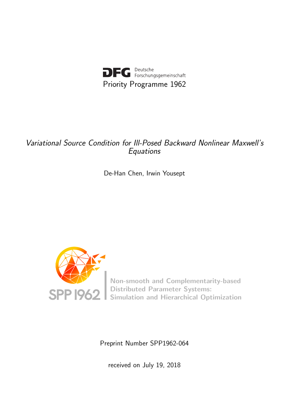

# Variational Source Condition for Ill-Posed Backward Nonlinear Maxwell's Equations

De-Han Chen, Irwin Yousept



Non-smooth and Complementarity-based Distributed Parameter Systems: Simulation and Hierarchical Optimization

Preprint Number SPP1962-064

received on July 19, 2018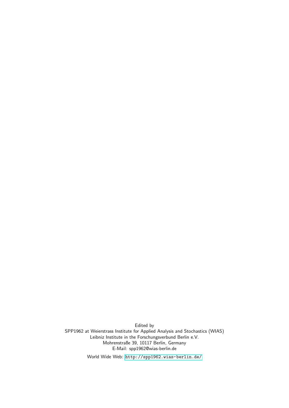Edited by SPP1962 at Weierstrass Institute for Applied Analysis and Stochastics (WIAS) Leibniz Institute in the Forschungsverbund Berlin e.V. Mohrenstraße 39, 10117 Berlin, Germany E-Mail: spp1962@wias-berlin.de

World Wide Web: <http://spp1962.wias-berlin.de/>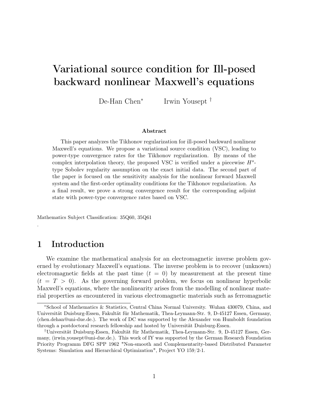# Variational source condition for Ill-posed backward nonlinear Maxwell's equations

De-Han Chen<sup>∗</sup> Irwin Yousept †

#### Abstract

This paper analyzes the Tikhonov regularization for ill-posed backward nonlinear Maxwell's equations. We propose a variational source condition (VSC), leading to power-type convergence rates for the Tikhonov regularization. By means of the complex interpolation theory, the proposed VSC is verified under a piecewise  $H<sup>s</sup>$ type Sobolev regularity assumption on the exact initial data. The second part of the paper is focused on the sensitivity analysis for the nonlinear forward Maxwell system and the first-order optimality conditions for the Tikhonov regularization. As a final result, we prove a strong convergence result for the corresponding adjoint state with power-type convergence rates based on VSC.

Mathematics Subject Classification: 35Q60, 35Q61

### 1 Introduction

.

We examine the mathematical analysis for an electromagnetic inverse problem governed by evolutionary Maxwell's equations. The inverse problem is to recover (unknown) electromagnetic fields at the past time  $(t = 0)$  by measurement at the present time  $(t = T > 0)$ . As the governing forward problem, we focus on nonlinear hyperbolic Maxwell's equations, where the nonlinearity arises from the modelling of nonlinear material properties as encountered in various electromagnetic materials such as ferromagnetic

<sup>∗</sup>School of Mathematics & Statistics, Central China Normal University. Wuhan 430079, China, and Universität Duisburg-Essen, Fakultät für Mathematik, Thea-Leymann-Str. 9, D-45127 Essen, Germany, (chen.dehan@uni-due.de.). The work of DC was supported by the Alexander von Humboldt foundation through a postdoctoral research fellowship and hosted by Universität Duisburg-Essen.

<sup>†</sup>Universität Duisburg-Essen, Fakultät für Mathematik, Thea-Leymann-Str. 9, D-45127 Essen, Germany, (irwin.yousept@uni-due.de.). This work of IY was supported by the German Research Foundation Priority Programm DFG SPP 1962 "Non-smooth and Complementarity-based Distributed Parameter Systems: Simulation and Hierarchical Optimization", Project YO 159/2-1.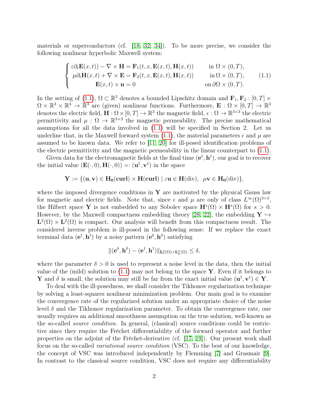materials or superconductors (cf. [18, 32, 34]). To be more precise, we consider the following nonlinear hyperbolic Maxwell system:

$$
\begin{cases}\n\varepsilon \partial_t \mathbf{E}(x,t) - \nabla \times \mathbf{H} = \mathbf{F}_1(t, x, \mathbf{E}(x,t), \mathbf{H}(x,t)) & \text{in } \Omega \times (0,T), \\
\mu \partial_t \mathbf{H}(x,t) + \nabla \times \mathbf{E} = \mathbf{F}_2(t, x, \mathbf{E}(x,t), \mathbf{H}(x,t)) & \text{in } \Omega \times (0,T), \\
\mathbf{E}(x,t) \times \mathbf{n} = 0 & \text{on } \partial\Omega \times (0,T).\n\end{cases}
$$
\n(1.1)

In the setting of (1.1),  $\Omega \subset \mathbb{R}^3$  denotes a bounded Lipschitz domain and  $\mathbf{F}_1, \mathbf{F}_2 : [0, T] \times$  $\Omega \times \mathbb{R}^3 \times \mathbb{R}^3 \to \mathbb{R}^3$  are (given) nonlinear functions. Furthermore,  $\mathbf{E}: \Omega \times [0, T] \to \mathbb{R}^3$ denotes the electric field,  $\mathbf{H}: \Omega \times [0, T] \to \mathbb{R}^3$  the magnetic field,  $\epsilon: \Omega \to \mathbb{R}^{3 \times 3}$  the electric permittivity and  $\mu$ :  $\Omega \to \mathbb{R}^{3\times 3}$  the magnetic permeability. The precise mathematical assumptions for all the data involved in (1.1) will be specified in Section 2. Let us underline that, in the Maxwell forward system (1.1), the material parameters  $\epsilon$  and  $\mu$  are assumed to be known data. We refer to [11, 20] for ill-posed identification problems of the electric permittivity and the magnetic permeability in the linear counterpart to  $(1.1)$ .

Given data for the electromagnetic fields at the final time  $(e^{\dagger}, h^{\dagger})$ , our goal is to recover the initial value  $(\mathbf{E}(\cdot,0),\mathbf{H}(\cdot,0)) =: (\mathbf{u}^{\dagger},\mathbf{v}^{\dagger})$  in the space

$$
\mathbf{Y}:=\{(\mathbf{u},\mathbf{v})\in \mathbf{H}_{0}(\mathbf{curl})\times \mathbf{H}(\mathbf{curl})\mid \varepsilon\mathbf{u}\in \mathbf{H}(\mathrm{div}),\ \ \mu\mathbf{v}\in \mathbf{H}_{0}(\mathrm{div})\},
$$

where the imposed divergence conditions in  $Y$  are motivated by the physical Gauss law for magnetic and electric fields. Note that, since  $\epsilon$  and  $\mu$  are only of class  $L^{\infty}(\Omega)^{3\times3}$ , the Hilbert space Y is not embedded to any Sobolev space  $\mathbf{H}^s(\Omega) \times \mathbf{H}^s(\Omega)$  for  $s > 0$ . However, by the Maxwell compactness embedding theory [28, 22], the embedding  $\mathbf{Y} \hookrightarrow$  $\mathbf{L}^2(\Omega) \times \mathbf{L}^2(\Omega)$  is compact. Our analysis will benefit from this compactness result. The considered inverse problem is ill-posed in the following sense: If we replace the exact terminal data  $(e^{\dagger}, h^{\dagger})$  by a noisy pattern  $(e^{\delta}, h^{\delta})$  satisfying

$$
\|({\bf e}^\delta, {\bf h}^\delta)-({\bf e}^\dagger, {\bf h}^\dagger)\|_{{\bf L}^2_\epsilon(\Omega)\times{\bf L}^2_\mu(\Omega)}\leq\delta,
$$

where the parameter  $\delta > 0$  is used to represent a noise level in the data, then the initial value of the (mild) solution to  $(1.1)$  may not belong to the space Y. Even if it belongs to **Y** and  $\delta$  is small, the solution may still be far from the exact initial value  $(\mathbf{u}^{\dagger}, \mathbf{v}^{\dagger}) \in \mathbf{Y}$ .

To deal with the ill-posedness, we shall consider the Tikhonov regularization technique by solving a least-squares nonlinear minimization problem. Our main goal is to examine the convergence rate of the regularized solution under an appropriate choice of the noise level  $\delta$  and the Tikhonov regularization parameter. To obtain the convergence rate, one usually requires an additional smoothness assumption on the true solution, well-known as the so-called source condition. In general, (classical) source conditions could be restrictive since they require the Fréchet differentiability of the forward operator and further properties on the adjoint of the Fréchet-derivative (cf. [17, 19]). Our present work shall focus on the so-called variational source condition (VSC). To the best of our knowledge, the concept of VSC was introduced independently by Flemming [7] and Grasmair [9]. In contrast to the classical source condition, VSC does not require any differentiability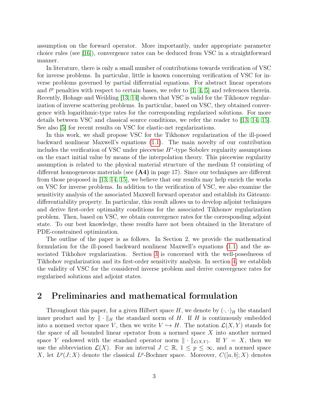assumption on the forward operator. More importantly, under appropriate parameter choice rules (see [16]), convergence rates can be deduced from VSC in a straightforward manner.

In literature, there is only a small number of contributions towards verification of VSC for inverse problems. In particular, little is known concerning verification of VSC for inverse problems governed by partial differential equations. For abstract linear operators and  $\ell^p$  penalties with respect to certain bases, we refer to [1, 4, 5] and references therein. Recently, Hohage and Weilding [13, 14] shown that VSC is valid for the Tikhonov regularization of inverse scattering problems. In particular, based on VSC, they obtained convergence with logarithmic-type rates for the corresponding regularized solutions. For more details between VSC and classical source conditions, we refer the reader to [13, 14, 15]. See also [5] for recent results on VSC for elastic-net regularizations.

In this work, we shall propose VSC for the Tikhonov regularization of the ill-posed backward nonlinear Maxwell's equations (1.1). The main novelty of our contribution includes the verification of VSC under piecewise  $H<sup>s</sup>$ -type Sobolev regularity assumptions on the exact initial value by means of the interpolation theory. This piecewise regularity assumption is related to the physical material structure of the medium  $\Omega$  consisting of different homogeneous materials (see  $(A4)$  in page 17). Since our techniques are different from those proposed in [13, 14, 15], we believe that our results may help enrich the works on VSC for inverse problems. In addition to the verification of VSC, we also examine the sensitivity analysis of the associated Maxwell forward operator and establish its Gâteauxdifferentiability property. In particular, this result allows us to develop adjoint techniques and derive first-order optimality conditions for the associated Tikhonov regularization problem. Then, based on VSC, we obtain convergence rates for the corresponding adjoint state. To our best knowledge, these results have not been obtained in the literature of PDE-constrained optimization.

The outline of the paper is as follows. In Section 2, we provide the mathematical formulation for the ill-posed backward nonlinear Maxwell's equations (1.1) and the associated Tikhohov regularization. Section [3](#page-7-0) is concerned with the well-posedneess of Tikhohov regularization and its first-order sensitivity analysis. In section [4,](#page-17-0) we establish the validity of VSC for the considered inverse problem and derive convergence rates for regularised solutions and adjoint states.

### 2 Preliminaries and mathematical formulation

Throughout this paper, for a given Hilbert space H, we denote by  $(\cdot, \cdot)_H$  the standard inner product and by  $\|\cdot\|_H$  the standard norm of H. If H is continuously embedded into a normed vector space V, then we write  $V \hookrightarrow H$ . The notation  $\mathcal{L}(X, Y)$  stands for the space of all bounded linear operator from a normed space X into another normed space Y endowed with the standard operator norm  $\|\cdot\|_{\mathcal{L}(X,Y)}$ . If  $Y = X$ , then we use the abbreviation  $\mathcal{L}(X)$ . For an interval  $J \subset \mathbb{R}$ ,  $1 \leq p \leq \infty$ , and a normed space X, let  $L^p(J;X)$  denote the classical  $L^p$ -Bochner space. Moreover,  $C([a,b];X)$  denotes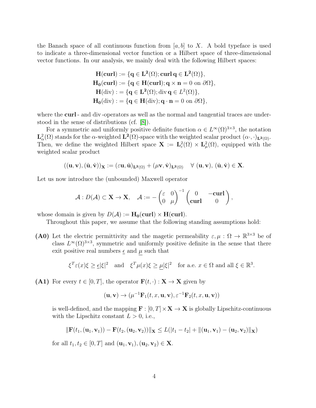the Banach space of all continuous function from  $[a, b]$  to X. A bold typeface is used to indicate a three-dimensional vector function or a Hilbert space of three-dimensional vector functions. In our analysis, we mainly deal with the following Hilbert spaces:

$$
H(\operatorname{curl}) := \{q \in L^{2}(\Omega); \operatorname{curl} q \in L^{2}(\Omega)\},
$$
  
\n
$$
H_{0}(\operatorname{curl}) := \{q \in H(\operatorname{curl}); q \times n = 0 \text{ on } \partial\Omega\},
$$
  
\n
$$
H(\operatorname{div}) := \{q \in L^{2}(\Omega); \operatorname{div} q \in L^{2}(\Omega)\},
$$
  
\n
$$
H_{0}(\operatorname{div}) := \{q \in H(\operatorname{div}); q \cdot n = 0 \text{ on } \partial\Omega\},
$$

where the **curl** - and div -operators as well as the normal and tangential traces are understood in the sense of distributions (cf. [8]).

For a symmetric and uniformly positive definite function  $\alpha \in L^{\infty}(\Omega)^{3\times3}$ , the notation  $\mathbf{L}_{\alpha}^{2}(\Omega)$  stands for the  $\alpha$ -weighted  $\mathbf{L}^{2}(\Omega)$ -space with the weighted scalar product  $(\alpha \cdot, \cdot)_{\mathbf{L}^{2}(\Omega)}$ . Then, we define the weighted Hilbert space  $\mathbf{X} := \mathbf{L}^2_{\varepsilon}(\Omega) \times \mathbf{L}^2_{\mu}(\Omega)$ , equipped with the weighted scalar product

$$
((u,v),(\hat{u},\hat{v}))_X:=(\varepsilon u,\hat{u})_{L^2(\Omega)}+(\mu v,\hat{v})_{L^2(\Omega)}\quad\forall\ (u,v),\ (\hat{u},\hat{v})\in X.
$$

Let us now introduce the (unbounded) Maxwell operator

$$
\mathcal{A}: D(\mathcal{A}) \subset \mathbf{X} \to \mathbf{X}, \quad \mathcal{A}:=-\begin{pmatrix} \varepsilon & 0 \\ 0 & \mu \end{pmatrix}^{-1} \begin{pmatrix} 0 & -\mathbf{curl} \\ \mathbf{curl} & 0 \end{pmatrix},
$$

whose domain is given by  $D(\mathcal{A}) := H_0(\text{curl}) \times H(\text{curl}).$ 

Throughout this paper, we assume that the following standing assumptions hold:

(A0) Let the electric permittivity and the magetic permeability  $\varepsilon, \mu : \Omega \to \mathbb{R}^{3 \times 3}$  be of class  $L^{\infty}(\Omega)^{3\times3}$ , symmetric and uniformly positive definite in the sense that there exit positive real numbers  $\epsilon$  and  $\mu$  such that

$$
\xi^T \varepsilon(x)\xi \ge \underline{\epsilon}|\xi|^2 \quad \text{and} \quad \xi^T \mu(x)\xi \ge \underline{\mu}|\xi|^2 \quad \text{for a.e. } x \in \Omega \text{ and all } \xi \in \mathbb{R}^3.
$$

(A1) For every  $t \in [0, T]$ , the operator  $\mathbf{F}(t, \cdot) : \mathbf{X} \to \mathbf{X}$  given by

$$
(\mathbf{u}, \mathbf{v}) \rightarrow (\mu^{-1} \mathbf{F}_1(t, x, \mathbf{u}, \mathbf{v}), \varepsilon^{-1} \mathbf{F}_2(t, x, \mathbf{u}, \mathbf{v}))
$$

is well-defined, and the mapping  $\mathbf{F} : [0, T] \times \mathbf{X} \to \mathbf{X}$  is globally Lipschitz-continuous with the Lipschitz constant  $L > 0$ , i.e.,

$$
\|\mathbf{F}(t_1, (\mathbf{u}_1, \mathbf{v}_1)) - \mathbf{F}(t_2, (\mathbf{u}_2, \mathbf{v}_2))\|_{\mathbf{X}} \le L(|t_1 - t_2| + \|(\mathbf{u}_1, \mathbf{v}_1) - (\mathbf{u}_2, \mathbf{v}_2)\|_{\mathbf{X}})
$$

for all  $t_1, t_2 \in [0, T]$  and  $(\mathbf{u}_1, \mathbf{v}_1), (\mathbf{u}_2, \mathbf{v}_2) \in \mathbf{X}$ .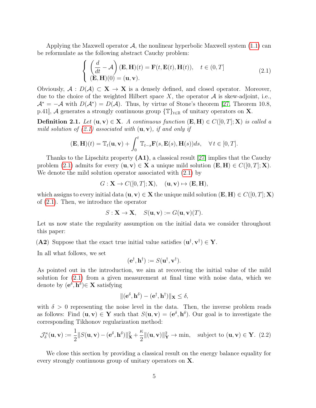Applying the Maxwell operator  $\mathcal{A}$ , the nonlinear hyperbolic Maxwell system  $(1.1)$  can be reformulate as the following abstract Cauchy problem:

$$
\begin{cases}\n\left(\frac{d}{dt} - \mathcal{A}\right)(\mathbf{E}, \mathbf{H})(t) = \mathbf{F}(t, \mathbf{E}(t), \mathbf{H}(t)), \quad t \in (0, T] \\
(\mathbf{E}, \mathbf{H})(0) = (\mathbf{u}, \mathbf{v}).\n\end{cases}
$$
\n(2.1)

Obviously,  $A : D(A) \subset X \to X$  is a densely defined, and closed operator. Moreover, due to the choice of the weighted Hilbert space X, the operator  $A$  is skew-adjoint, i.e.,  $\mathcal{A}^* = -\mathcal{A}$  with  $D(\mathcal{A}^*) = D(\mathcal{A})$ . Thus, by virtue of Stone's theorem [27, Theorem 10.8, p.41], A generates a strongly continuous group  $\{T\}_{t\in\mathbb{R}}$  of unitary operators on X.

**Definition 2.1.** Let  $(\mathbf{u}, \mathbf{v}) \in \mathbf{X}$ . A continuous function  $(\mathbf{E}, \mathbf{H}) \in C([0, T]; \mathbf{X})$  is called a mild solution of  $(2.1)$  associated with  $(\mathbf{u}, \mathbf{v})$ , if and only if

$$
(\mathbf{E}, \mathbf{H})(t) = \mathbb{T}_t(\mathbf{u}, \mathbf{v}) + \int_0^t \mathbb{T}_{t-s} \mathbf{F}(s, \mathbf{E}(s), \mathbf{H}(s)) ds, \quad \forall \, t \in [0, T].
$$

Thanks to the Lipschitz property  $(A1)$ , a classical result [27] implies that the Cauchy problem (2.1) admits for every  $(\mathbf{u}, \mathbf{v}) \in \mathbf{X}$  a unique mild solution  $(\mathbf{E}, \mathbf{H}) \in C([0, T]; \mathbf{X})$ . We denote the mild solution operator associated with  $(2.1)$  by

$$
G: \mathbf{X} \to C([0, T]; \mathbf{X}), \quad (\mathbf{u}, \mathbf{v}) \mapsto (\mathbf{E}, \mathbf{H}),
$$

which assigns to every initial data  $(\mathbf{u}, \mathbf{v}) \in \mathbf{X}$  the unique mild solution  $(\mathbf{E}, \mathbf{H}) \in C([0, T]; \mathbf{X})$ of (2.1). Then, we introduce the operator

$$
S: \mathbf{X} \to \mathbf{X}, \quad S(\mathbf{u}, \mathbf{v}) := G(\mathbf{u}, \mathbf{v})(T).
$$

Let us now state the regularity assumption on the initial data we consider throughout this paper:

(A2) Suppose that the exact true initial value satisfies  $(\mathbf{u}^{\dagger}, \mathbf{v}^{\dagger}) \in \mathbf{Y}$ .

In all what follows, we set

$$
(\mathbf{e}^\dagger, \mathbf{h}^\dagger) := S(\mathbf{u}^\dagger, \mathbf{v}^\dagger).
$$

As pointed out in the introduction, we aim at recovering the initial value of the mild solution for (2.1) from a given measurement at final time with noise data, which we denote by  $(e^{\delta}, h^{\delta}) \in X$  satisfying

$$
\|(\mathbf{e}^{\delta}, \mathbf{h}^{\delta}) - (\mathbf{e}^{\dagger}, \mathbf{h}^{\dagger})\|_{\mathbf{X}} \leq \delta,
$$

with  $\delta > 0$  representing the noise level in the data. Then, the inverse problem reads as follows: Find  $(\mathbf{u}, \mathbf{v}) \in \mathbf{Y}$  such that  $S(\mathbf{u}, \mathbf{v}) = (\mathbf{e}^{\delta}, \mathbf{h}^{\delta})$ . Our goal is to investigate the corresponding Tikhonov regularization method:

$$
\mathcal{J}_{\delta}^{\kappa}(\mathbf{u}, \mathbf{v}) := \frac{1}{2} \| S(\mathbf{u}, \mathbf{v}) - (\mathbf{e}^{\delta}, \mathbf{h}^{\delta}) \|_{\mathbf{X}}^2 + \frac{\kappa}{2} \| (\mathbf{u}, \mathbf{v}) \|_{\mathbf{Y}}^2 \to \min, \quad \text{subject to } (\mathbf{u}, \mathbf{v}) \in \mathbf{Y}. \tag{2.2}
$$

We close this section by providing a classical result on the energy balance equality for every strongly continuous group of unitary operators on X.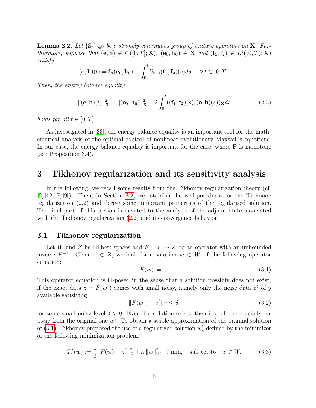**Lemma 2.2.** Let  $\{\mathbb{S}_t\}_{t\in\mathbb{R}}$  be a strongly continuous group of unitary operators on **X**. Furthermore, suppose that  $(e, h) \in C([0, T]; X)$ ,  $(e_0, h_0) \in X$  and  $(f_1, f_2) \in L^1((0, T); X)$ satisfy

$$
(\mathbf{e}, \mathbf{h})(t) = \mathbb{S}_t(\mathbf{e}_0, \mathbf{h_0}) + \int_0^t \mathbb{S}_{t-s}(\mathbf{f_1}, \mathbf{f_2})(s)ds, \quad \forall \, t \in [0, T].
$$

Then, the energy balance equality

$$
\|(\mathbf{e}, \mathbf{h})(t)\|_{\mathbf{X}}^2 = \|(\mathbf{e}_0, \mathbf{h}_0)\|_{\mathbf{X}}^2 + 2 \int_0^t ((\mathbf{f}_1, \mathbf{f}_2)(s), (\mathbf{e}, \mathbf{h})(s))_{\mathbf{X}} ds \tag{2.3}
$$

holds for all  $t \in [0, T]$ .

As investigated in [33], the energy balance equality is an important tool for the mathematical analysis of the optimal control of nonlinear evolutionary Maxwell's equations. In our case, the energy balance equality is important for the case, where  $\bf{F}$  is monotone (see Proposition 3.4).

### <span id="page-7-0"></span>3 Tikhonov regularization and its sensitivity analysis

In the following, we recall some results from the Tikhonov regularization theory (cf. [2, 12, 7, 9]). Then, in Section [3.2,](#page-9-0) we establish the well-posedness for the Tikhonov regularization (2.2) and derive some important properties of the regularised solution. The final part of this section is devoted to the analysis of the adjoint state associated with the Tikhonov regularization  $(2.2)$  and its convergence behavior.

#### <span id="page-7-1"></span>3.1 Tikhonov regularization

Let W and Z be Hilbert spaces and  $F: W \to Z$  be an operator with an unbounded inverse  $F^{-1}$ . Given  $z \in Z$ , we look for a solution  $w \in W$  of the following operator equation:

$$
F(w) = z. \tag{3.1}
$$

This operator equation is ill-posed in the sense that a solution possibly does not exist, if the exact data  $z = F(w^{\dagger})$  comes with small noisy, namely only the noise data  $z^{\delta}$  of y available satisfying

$$
||F(w\dagger) - z\delta||_Z \le \delta,
$$
\n(3.2)

for some small noisy level  $\delta > 0$ . Even if a solution exists, then it could be crucially far away from the original one  $w^{\dagger}$ . To obtain a stable approximation of the original solution of (3.1), Tikhonov proposed the use of a regularized solution  $w_{\kappa}^{\delta}$  defined by the minimizer of the following minimization problem:

$$
T_{\gamma}^{\delta}(w) := \frac{1}{2} \|F(w) - z^{\delta}\|_{Z}^{2} + \kappa \|w\|_{W}^{2} \to \min, \quad \text{subject to} \quad w \in W. \tag{3.3}
$$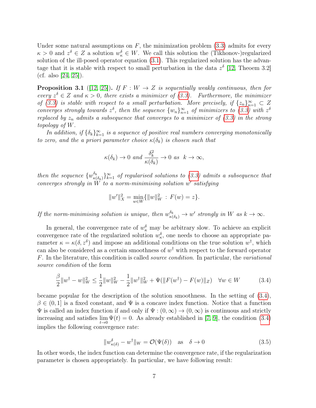Under some natural assumptions on  $F$ , the minimization problem  $(3.3)$  admits for every  $\kappa > 0$  and  $z^{\delta} \in Z$  a solution  $w_{\kappa}^{\delta} \in W$ . We call this solution the (Tikhonov-)regularized solution of the ill-posed operator equation (3.1). This regularized solution has the advantage that it is stable with respect to small perturbation in the data  $z^{\delta}$  [12, Theoem 3.2] (cf. also  $[24, 25]$ ).

**Proposition 3.1** ([12, 25]). If  $F: W \to Z$  is sequentially weakly continuous, then for every  $z^{\delta} \in Z$  and  $\kappa > 0$ , there exists a minimizer of (3.3). Furthermore, the minimizer of (3.3) is stable with respect to a small perturbation. More precisely, if  $\{z_n\}_{n=1}^{\infty} \subset Z$ converges strongly towards  $z^{\delta}$ , then the sequence  $\{w_n\}_{n=1}^{\infty}$  of minimizers to (3.3) with  $z^{\delta}$ replaced by  $z_n$  admits a subsequence that converges to a minimizer of (3.3) in the strong topology of W.

In addition, if  $\{\delta_k\}_{k=1}^{\infty}$  is a sequence of positive real numbers converging monotonically to zero, and the a priori parameter choice  $\kappa(\delta_k)$  is chosen such that

$$
\kappa(\delta_k) \to 0 \text{ and } \frac{\delta_k^2}{\kappa(\delta_k)} \to 0 \text{ as } k \to \infty,
$$

then the sequence  $\{w_{\kappa}^{\delta_k}\}$  $\{\delta_k \atop \kappa(\delta_k)} \}_{k=1}^{\infty}$  of regularised solutions to (3.3) admits a subsequence that converges strongly in  $\widetilde{W}$  to a norm-minimising solution w' satisfying

$$
||w'||_X^2 = \min_{w \in W} \{ ||w||_W^2 : F(w) = z \}.
$$

If the norm-minimising solution is unique, then  $w_{\kappa(\delta_k)}^{\delta_k} \to w'$  strongly in W as  $k \to \infty$ .

In general, the convergence rate of  $w_{\kappa}^{\delta}$  may be arbitrary slow. To achieve an explicit convergence rate of the regularized solution  $w_{\kappa}^{\delta}$ , one needs to choose an appropriate parameter  $\kappa = \kappa(\delta, z^{\delta})$  and impose an additional conditions on the true solution  $w^{\dagger}$ , which can also be considered as a certain smoothness of  $w^{\dagger}$  with respect to the forward operator F. In the literature, this condition is called source condition. In particular, the variational source condition of the form

$$
\frac{\beta}{2}||w^{\dagger} - w||_W^2 \le \frac{1}{2}||w||_W^2 - \frac{1}{2}||w^{\dagger}||_W^2 + \Psi(||F(w^{\dagger}) - F(w)||_Z) \quad \forall w \in W \tag{3.4}
$$

became popular for the description of the solution smoothness. In the setting of (3.4),  $\beta \in (0,1]$  is a fixed constant, and  $\Psi$  is a concave index function. Notice that a function  $\Psi$  is called an index function if and only if  $\Psi : (0, \infty) \to (0, \infty)$  is continuous and strictly increasing and satisfies  $\lim_{t\to 0} \Psi(t) = 0$ . As already established in [7, 9], the condition (3.4) implies the following convergence rate:

$$
\|w_{\kappa(\delta)}^{\delta} - w^{\dagger}\|_{W} = \mathcal{O}(\Psi(\delta)) \quad \text{as} \quad \delta \to 0 \tag{3.5}
$$

In other words, the index function can determine the convergence rate, if the regularization parameter is chosen appropriately. In particular, we have following result: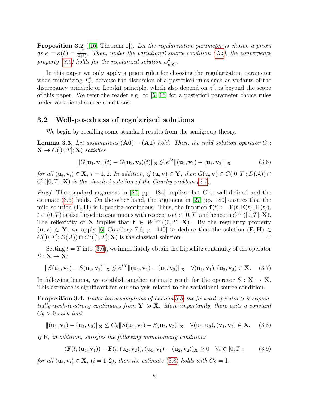Proposition 3.2 ([16, Theorem 1]). Let the regularization parameter is chosen a priori as  $\kappa = \kappa(\delta) = \frac{\delta^2}{\Psi(\delta)}$  $\frac{\partial^2}{\Psi(\delta)}$ . Then, under the variational source condition (3.4), the convergence property (3.5) holds for the regularized solution  $w_{\kappa(\delta)}^{\delta}$ .

In this paper we only apply a priori rules for choosing the regularization parameter when minimizing  $T_{\gamma}^{\delta}$ , because the discussion of a posteriori rules such as variants of the discrepancy principle or Lepskiĭ principle, which also depend on  $z^{\delta}$ , is beyond the scope of this paper. We refer the reader e.g. to [5, 16] for a posteriori parameter choice rules under variational source conditions.

#### <span id="page-9-0"></span>3.2 Well-posedness of regularised solutions

We begin by recalling some standard results from the semigroup theory.

**Lemma 3.3.** Let assumptions  $(A0) - (A1)$  hold. Then, the mild solution operator G:  $\mathbf{X} \to C([0,T];\mathbf{X})$  satisfies

$$
||G(\mathbf{u}_1, \mathbf{v}_1)(t) - G(\mathbf{u}_2, \mathbf{v}_2)(t)||_{\mathbf{X}} \lesssim e^{Lt} ||(\mathbf{u}_1, \mathbf{v}_1) - (\mathbf{u}_2, \mathbf{v}_2)||_{\mathbf{X}}
$$
(3.6)

for all  $(\mathbf{u}_i, \mathbf{v}_i) \in \mathbf{X}$ ,  $i = 1, 2$ . In addition, if  $(\mathbf{u}, \mathbf{v}) \in \mathbf{Y}$ , then  $G(\mathbf{u}, \mathbf{v}) \in C([0, T]; D(\mathcal{A})) \cap$  $C^1([0,T]; \mathbf{X})$  is the classical solution of the Cauchy problem (2.1).

*Proof.* The standard argument in [27, pp. 184] implies that G is well-defined and the estimate (3.6) holds. On the other hand, the argument in [27, pp. 189] ensures that the mild solution  $(E, H)$  is Lipschitz continuous. Thus, the function  $f(t) := F(t, E(t), H(t)),$  $t \in (0,T)$  is also Lipschitz continuous with respect to  $t \in [0,T]$  and hence in  $C^{0,1}([0,T]; \mathbf{X})$ . The reflexivity of **X** implies that  $f \in W^{1,\infty}((0,T); X)$ . By the regularity property  $(\mathbf{u}, \mathbf{v}) \in \mathbf{Y}$ , we apply [6, Corollary 7.6, p. 440] to deduce that the solution  $(\mathbf{E}, \mathbf{H}) \in$  $C([0,T]; D(\mathcal{A})) \cap C^1([0,T]; \mathbf{X})$  is the classical solution.  $\Box$ 

Setting  $t = T$  into (3.6), we immediately obtain the Lipschitz continuity of the operator  $S: \mathbf{X} \to \mathbf{X}$ :

$$
||S(\mathbf{u}_1, \mathbf{v}_1) - S(\mathbf{u}_2, \mathbf{v}_2)||_{\mathbf{X}} \lesssim e^{LT} ||(\mathbf{u}_1, \mathbf{v}_1) - (\mathbf{u}_2, \mathbf{v}_2)||_{\mathbf{X}} \quad \forall (\mathbf{u}_1, \mathbf{v}_1), (\mathbf{u}_2, \mathbf{v}_2) \in \mathbf{X}.
$$
 (3.7)

In following lemma, we establish another estimate result for the operator  $S: \mathbf{X} \to \mathbf{X}$ . This estimate is significant for our analysis related to the variational source condition.

**Proposition 3.4.** Under the assumptions of Lemma 3.3, the forward operator S is sequentially weak-to-strong continuous from  $Y$  to  $X$ . More importantly, there exits a constant  $C_S > 0$  such that

$$
\|(\mathbf{u}_1, \mathbf{v}_1) - (\mathbf{u}_2, \mathbf{v}_2)\|_{\mathbf{X}} \leq C_S \|S(\mathbf{u}_1, \mathbf{v}_1) - S(\mathbf{u}_2, \mathbf{v}_2)\|_{\mathbf{X}} \quad \forall (\mathbf{u}_1, \mathbf{u}_2), (\mathbf{v}_1, \mathbf{v}_2) \in \mathbf{X}.
$$
 (3.8)

If  $\bf{F}$ , in addition, satisfies the following monotonicity condition:

$$
(\mathbf{F}(t,(\mathbf{u}_1,\mathbf{v}_1)) - \mathbf{F}(t,(\mathbf{u}_2,\mathbf{v}_2)),(\mathbf{u}_1,\mathbf{v}_1) - (\mathbf{u}_2,\mathbf{v}_2))\mathbf{x} \ge 0 \quad \forall t \in [0,T],
$$
 (3.9)

for all  $(\mathbf{u}_i, \mathbf{v}_i) \in \mathbf{X}$ ,  $(i = 1, 2)$ , then the estimate (3.8) holds with  $C_S = 1$ .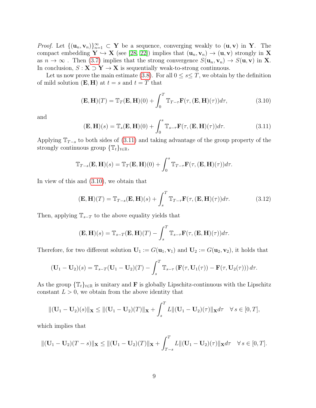*Proof.* Let  ${(\mathbf{u}_n, \mathbf{v}_n)}_{n=1}^{\infty} \subset \mathbf{Y}$  be a sequence, converging weakly to  $(\mathbf{u}, \mathbf{v})$  in **Y**. The compact embedding  $Y \hookrightarrow X$  (see [28, 22]) implies that  $(u_n, v_n) \to (u, v)$  strongly in X as  $n \to \infty$ . Then (3.7) implies that the strong convergence  $S(\mathbf{u}_n, \mathbf{v}_n) \to S(\mathbf{u}, \mathbf{v})$  in **X**. In conclusion,  $S: \mathbf{X} \supset \mathbf{Y} \to \mathbf{X}$  is sequentially weak-to-strong continuous.

Let us now prove the main estimate (3.8). For all  $0 \leq s \leq T$ , we obtain by the definition of mild solution  $(E, H)$  at  $t = s$  and  $t = T$  that

$$
(\mathbf{E}, \mathbf{H})(T) = \mathbb{T}_T(\mathbf{E}, \mathbf{H})(0) + \int_0^T \mathbb{T}_{T-\tau} \mathbf{F}(\tau, (\mathbf{E}, \mathbf{H})(\tau)) d\tau,
$$
\n(3.10)

and

$$
(\mathbf{E}, \mathbf{H})(s) = \mathbb{T}_s(\mathbf{E}, \mathbf{H})(0) + \int_0^s \mathbb{T}_{s-\tau} \mathbf{F}(\tau, (\mathbf{E}, \mathbf{H})(\tau)) d\tau.
$$
 (3.11)

Applying  $\mathbb{T}_{T-s}$  to both sides of (3.11) and taking advantage of the group property of the strongly continuous group  $\{\mathbb{T}_t\}_{t\in\mathbb{R}}$ ,

$$
\mathbb{T}_{T-s}(\mathbf{E}, \mathbf{H})(s) = \mathbb{T}_T(\mathbf{E}, \mathbf{H})(0) + \int_0^s \mathbb{T}_{T-\tau} \mathbf{F}(\tau, (\mathbf{E}, \mathbf{H})(\tau)) d\tau.
$$

In view of this and (3.10), we obtain that

$$
(\mathbf{E}, \mathbf{H})(T) = \mathbb{T}_{T-s}(\mathbf{E}, \mathbf{H})(s) + \int_s^T \mathbb{T}_{T-\tau} \mathbf{F}(\tau, (\mathbf{E}, \mathbf{H})(\tau)) d\tau.
$$
 (3.12)

Then, applying  $\mathbb{T}_{s-T}$  to the above equality yields that

$$
(\mathbf{E}, \mathbf{H})(s) = \mathbb{T}_{s-T}(\mathbf{E}, \mathbf{H})(T) - \int_s^T \mathbb{T}_{s-\tau} \mathbf{F}(\tau, (\mathbf{E}, \mathbf{H})(\tau)) d\tau.
$$

Therefore, for two different solution  $\mathbf{U}_1 := G(\mathbf{u}_1, \mathbf{v}_1)$  and  $\mathbf{U}_2 := G(\mathbf{u}_2, \mathbf{v}_2)$ , it holds that

$$
(\mathbf{U}_1-\mathbf{U}_2)(s)=\mathbb{T}_{s-T}(\mathbf{U}_1-\mathbf{U}_2)(T)-\int_s^T\mathbb{T}_{s-\tau}\left(\mathbf{F}(\tau,\mathbf{U}_1(\tau))-\mathbf{F}(\tau,\mathbf{U}_2(\tau))\right)d\tau.
$$

As the group  $\{\mathbb{T}_t\}_{t\in\mathbb{R}}$  is unitary and **F** is globally Lipschitz-continuous with the Lipschitz constant  $L > 0$ , we obtain from the above identity that

$$
\|(\mathbf{U}_1 - \mathbf{U}_2)(s)\|_{\mathbf{X}} \le \|(\mathbf{U}_1 - \mathbf{U}_2)(T)\|_{\mathbf{X}} + \int_s^T L\|(\mathbf{U}_1 - \mathbf{U}_2)(\tau)\|_{\mathbf{X}} d\tau \quad \forall s \in [0, T],
$$

which implies that

$$
\|(\mathbf{U}_1-\mathbf{U}_2)(T-s)\|_{\mathbf{X}} \leq \|(\mathbf{U}_1-\mathbf{U}_2)(T)\|_{\mathbf{X}} + \int_{T-s}^T L\|(\mathbf{U}_1-\mathbf{U}_2)(\tau)\|_{\mathbf{X}}d\tau \quad \forall s \in [0,T].
$$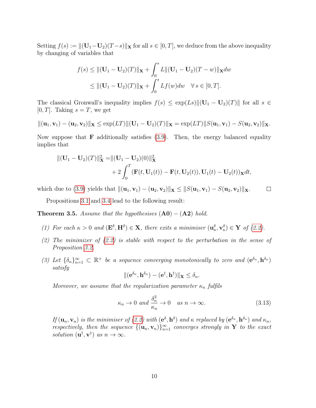Setting  $f(s) := ||(\mathbf{U}_1 - \mathbf{U}_2)(T - s)||$ **x** for all  $s \in [0, T]$ , we deduce from the above inequality by changing of variables that

$$
f(s) \le ||(\mathbf{U}_1 - \mathbf{U}_2)(T)||_{\mathbf{X}} + \int_0^s L||(\mathbf{U}_1 - \mathbf{U}_2)(T - w)||_{\mathbf{X}} dw
$$
  
\n
$$
\le ||(\mathbf{U}_1 - \mathbf{U}_2)(T)||_{\mathbf{X}} + \int_0^s Lf(w)dw \quad \forall s \in [0, T].
$$

The classical Gronwall's inequality implies  $f(s) \leq \exp(Ls) ||(\mathbf{U}_1 - \mathbf{U}_2)(T)||$  for all  $s \in$ [0, T]. Taking  $s = T$ , we get

$$
\|(\mathbf{u}_1,\mathbf{v}_1)-(\mathbf{u}_2,\mathbf{v}_2)\|_{\mathbf{X}} \leq \exp(LT)\|(\mathbf{U}_1-\mathbf{U}_2)(T)\|_{\mathbf{X}} = \exp(LT)\|S(\mathbf{u}_1,\mathbf{v}_1)-S(\mathbf{u}_2,\mathbf{v}_2)\|_{\mathbf{X}}.
$$

Now suppose that **F** additionally satisfies  $(3.9)$ . Then, the energy balanced equality implies that

$$
\|(\mathbf{U}_1 - \mathbf{U}_2)(T)\|_{\mathbf{X}}^2 = \|(\mathbf{U}_1 - \mathbf{U}_2)(0)\|_{\mathbf{X}}^2 + 2\int_0^T (\mathbf{F}(t, \mathbf{U}_1(t)) - \mathbf{F}(t, \mathbf{U}_2(t)), \mathbf{U}_1(t) - \mathbf{U}_2(t))_{\mathbf{X}} dt,
$$

which due to (3.9) yields that  $\|(\mathbf{u}_1, \mathbf{v}_1) - (\mathbf{u}_2, \mathbf{v}_2)\|_{\mathbf{X}} \leq \|S(\mathbf{u}_1, \mathbf{v}_1) - S(\mathbf{u}_2, \mathbf{v}_2)\|_{\mathbf{X}}.$ 

Propositions 3.1 and 3.4 lead to the following result:

**Theorem 3.5.** Assume that the hypothesises  $(A0) - (A2)$  hold.

- (1) For each  $\kappa > 0$  and  $(\mathbf{E}^{\delta}, \mathbf{H}^{\delta}) \in \mathbf{X}$ , there exits a minimiser  $(\mathbf{u}_{\kappa}^{\delta}, \mathbf{v}_{\kappa}^{\delta}) \in \mathbf{Y}$  of (2.2).
- (2) The minimizer of (2.2) is stable with respect to the perturbation in the sense of Proposition 3.2.
- (3) Let  $\{\delta_n\}_{n=1}^{\infty} \subset \mathbb{R}^+$  be a sequence converging monotonically to zero and  $(e^{\delta_n}, h^{\delta_n})$ satisfy

$$
\|({\bf e}^{\delta_n}, {\bf h}^{\delta_n})-({\bf e}^\dagger, {\bf h}^\dagger)\|_{\bf X}\leq \delta_n.
$$

Moreover, we assume that the regularization parameter  $\kappa_n$  fulfils

$$
\kappa_n \to 0 \text{ and } \frac{\delta_n^2}{\kappa_n} \to 0 \quad \text{as } n \to \infty. \tag{3.13}
$$

 $\Box$ 

If  $(\mathbf{u}_n, \mathbf{v}_n)$  is the minimiser of (2.2) with  $(\mathbf{e}^{\delta}, \mathbf{h}^{\delta})$  and  $\kappa$  replaced by  $(\mathbf{e}^{\delta_n}, \mathbf{h}^{\delta_n})$  and  $\kappa_n$ , respectively, then the sequence  ${(\mathbf{u}_n, \mathbf{v}_n)}_{n=1}^{\infty}$  converges strongly in Y to the exact solution  $(\mathbf{u}^{\dagger}, \mathbf{v}^{\dagger})$  as  $n \to \infty$ .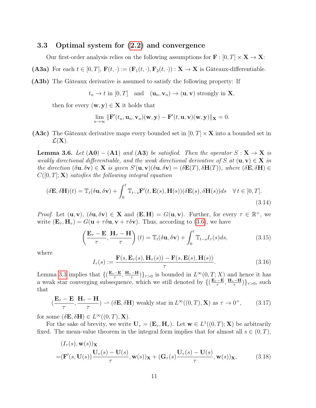#### 3.3 Optimal system for (2.2) and convergence

Our first-order analysis relies on the following assumptions for  $\mathbf{F} : [0, T] \times \mathbf{X} \to \mathbf{X}$ :

(A3a) For each  $t \in [0, T]$ ,  $\mathbf{F}(t, \cdot) := (\mathbf{F}_1(t, \cdot), \mathbf{F}_2(t, \cdot)) : \mathbf{X} \to \mathbf{X}$  is Gâteaux-differentiable.

(A3b) The Gâteaux derivative is assumed to satisfy the following property: If

$$
t_n \to t
$$
 in  $[0, T]$  and  $(\mathbf{u}_n, \mathbf{v}_n) \to (\mathbf{u}, \mathbf{v})$  strongly in **X**,

then for every  $(\mathbf{w}, \mathbf{y}) \in \mathbf{X}$  it holds that

$$
\lim_{n\to\infty} \|\mathbf{F}'(t_n,\mathbf{u}_n,\mathbf{v}_n)(\mathbf{w},\mathbf{y}) - \mathbf{F}'(t,\mathbf{u},\mathbf{v})(\mathbf{w},\mathbf{y})\|_{\mathbf{X}} = 0.
$$

(A3c) The Gâteaux derivative maps every bounded set in  $[0, T] \times X$  into a bounded set in  $\mathcal{L}(\mathbf{X}).$ 

**Lemma 3.6.** Let  $(A0) - (A1)$  and  $(A3)$  be satisfied. Then the operator  $S: X \to X$  is weakly directional differentiable, and the weak directional derivative of S at  $(\mathbf{u}, \mathbf{v}) \in \mathbf{X}$  in the direction  $(\delta \mathbf{u}, \delta \mathbf{v}) \in \mathbf{X}$  is given  $S'(\mathbf{u}, \mathbf{v})(\delta \mathbf{u}, \delta \mathbf{v}) = (\delta \mathbf{E}(T), \delta \mathbf{H}(T))$ , where  $(\delta \mathbf{E}, \delta \mathbf{H}) \in$  $C([0,T]; \mathbf{X})$  satisfies the following integral equation

$$
(\delta \mathbf{E}, \delta \mathbf{H})(t) = \mathbb{T}_t(\delta \mathbf{u}, \delta \mathbf{v}) + \int_0^t \mathbb{T}_{t-s} \mathbf{F}'(t, \mathbf{E}(s), \mathbf{H}(s)) (\delta \mathbf{E}(s), \delta \mathbf{H}(s)) ds \quad \forall t \in [0, T].
$$
\n(3.14)

*Proof.* Let  $(\mathbf{u}, \mathbf{v})$ ,  $(\delta \mathbf{u}, \delta \mathbf{v}) \in \mathbf{X}$  and  $(\mathbf{E}, \mathbf{H}) = G(\mathbf{u}, \mathbf{v})$ . Further, for every  $\tau \in \mathbb{R}^+$ , we write  $(\mathbf{E}_{\tau}, \mathbf{H}_{\tau}) = G(\mathbf{u} + \tau \delta \mathbf{u}, \mathbf{v} + \tau \delta \mathbf{v})$ . Thus, according to (3.6), we have

$$
\left(\frac{\mathbf{E}_{\tau}-\mathbf{E}}{\tau},\frac{\mathbf{H}_{\tau}-\mathbf{H}}{\tau}\right)(t) = \mathbb{T}_{t}(\delta \mathbf{u}, \delta \mathbf{v}) + \int_{0}^{t} \mathbb{T}_{t-s} I_{\tau}(s) ds,
$$
\n(3.15)

where

$$
I_{\tau}(s) := \frac{\mathbf{F}(s, \mathbf{E}_{\tau}(s), \mathbf{H}_{\tau}(s)) - \mathbf{F}(s, \mathbf{E}(s), \mathbf{H}(s))}{\tau}.
$$
 (3.16)

Lemma 3.3 implies that  $\left\{ \left( \frac{\mathbf{E}_{\tau}-\mathbf{E}}{\tau} \right)$  $\frac{\mathbf{H}_\tau-\mathbf{H}}{\tau},\,\frac{\mathbf{H}_\tau-\mathbf{H}_\tau}{\tau}$  $\frac{(-H)}{\tau}$ }<sub>7>0</sub> is bounded in  $L^{\infty}(0,T;X)$  and hence it has a weak star converging subsequence, which we still denoted by  $\left\{ \left( \frac{\mathbf{E}_{\tau}-\mathbf{E}_{\tau}}{\tau} \right)$  $\frac{\mathbf{H}_\tau-\mathbf{H}}{\tau},\,\frac{\mathbf{H}_\tau-\mathbf{H}_\tau}{\tau}$  $\left\{\frac{-\mathbf{H}}{\tau}\right\}\}_{\tau>0}$ , such that

$$
(\frac{\mathbf{E}_{\tau} - \mathbf{E}}{\tau}, \frac{\mathbf{H}_{\tau} - \mathbf{H}}{\tau}) \rightharpoonup (\delta \mathbf{E}, \delta \mathbf{H}) \text{ weakly star in } L^{\infty}((0, T), \mathbf{X}) \text{ as } \tau \to 0^+, \qquad (3.17)
$$

for some  $(\delta \mathbf{E}, \delta \mathbf{H}) \in L^{\infty}((0, T), \mathbf{X}).$ 

For the sake of brevity, we write  $U_{\tau} = (E_{\tau}, H_{\tau})$ . Let  $w \in L^{1}((0, T); X)$  be arbitrarily fixed. The mean-value theorem in the integral form implies that for almost all  $s \in (0, T)$ ,

$$
(I_{\tau}(s), \mathbf{w}(s))\mathbf{x}
$$
  
= $(\mathbf{F}'(s, \mathbf{U}(s)))\frac{\mathbf{U}_{\tau}(s) - \mathbf{U}(s)}{\tau}, \mathbf{w}(s))\mathbf{x} + (\mathbf{G}_{\tau}(s))\frac{\mathbf{U}_{\tau}(s) - \mathbf{U}(s)}{\tau}, \mathbf{w}(s))\mathbf{x},$  (3.18)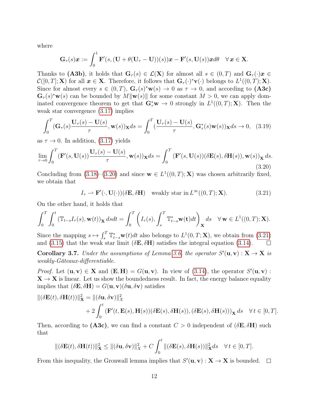where

$$
\mathbf{G}_{\tau}(s)\boldsymbol{x} := \int_0^1 \mathbf{F}'(s, (\mathbf{U} + \theta(\mathbf{U}_{\tau} - \mathbf{U}))(s))\boldsymbol{x} - \mathbf{F}'(s, \mathbf{U}(s))\boldsymbol{x}d\theta \quad \forall \, \boldsymbol{x} \in \mathbf{X}.
$$

Thanks to (A3b), it holds that  $\mathbf{G}_{\tau}(s) \in \mathcal{L}(\mathbf{X})$  for almost all  $s \in (0,T)$  and  $\mathbf{G}_{\tau}(\cdot)\mathbf{x} \in$  $\mathcal{C}([0,T];\mathbf{X})$  for all  $\mathbf{x} \in \mathbf{X}$ . Therefore, it follows that  $\mathbf{G}_{\tau}(\cdot)^*\mathbf{v}(\cdot)$  belongs to  $L^1((0,T);\mathbf{X})$ . Since for almost every  $s \in (0,T)$ ,  $\mathbf{G}_{\tau}(s)^* \mathbf{w}(s) \to 0$  as  $\tau \to 0$ , and according to  $(\mathbf{A3c})$  $\mathbf{G}_{\tau}(s)^*\mathbf{w}(s)$  can be bounded by  $M\|\mathbf{w}(s)\|$  for some constant  $M > 0$ , we can apply dominated convergence theorem to get that  $\mathbf{G}_{\tau}^*\mathbf{w} \to 0$  strongly in  $L^1((0,T);\mathbf{X})$ . Then the weak star convergence (3.17) implies

$$
\int_0^T (\mathbf{G}_{\tau}(s) \frac{\mathbf{U}_{\tau}(s) - \mathbf{U}(s)}{\tau}, \mathbf{w}(s)) \mathbf{x} ds = \int_0^T (\frac{\mathbf{U}_{\tau}(s) - \mathbf{U}(s)}{\tau}, \mathbf{G}_{\tau}^*(s) \mathbf{w}(s)) \mathbf{x} ds \to 0, \tag{3.19}
$$

as  $\tau \to 0$ . In addition, (3.17) yields

$$
\lim_{\tau \to 0} \int_0^T (\mathbf{F}'(s, \mathbf{U}(s))) \frac{\mathbf{U}_\tau(s) - \mathbf{U}(s)}{\tau}, \mathbf{w}(s)) \mathbf{x} ds = \int_0^T (\mathbf{F}'(s, \mathbf{U}(s)) (\delta \mathbf{E}(s), \delta \mathbf{H}(s)), \mathbf{w}(s)) \mathbf{x} ds.
$$
\n(3.20)

Concluding from (3.18)–(3.20) and since  $\mathbf{w} \in L^1((0,T);\mathbf{X})$  was chosen arbitrarily fixed, we obtain that

$$
I_{\tau} \rightharpoonup \mathbf{F}'(\cdot, \mathbf{U}(\cdot))(\delta \mathbf{E}, \delta \mathbf{H}) \quad \text{weakly star in } L^{\infty}((0, T); \mathbf{X}). \tag{3.21}
$$

On the other hand, it holds that

$$
\int_0^T \int_0^t (\mathbb{T}_{t-s} I_\tau(s), \mathbf{w}(t))_\mathbf{X} ds dt = \int_0^T \left( I_\tau(s), \int_s^T \mathbb{T}_{t-s}^* \mathbf{w}(t) dt \right)_\mathbf{X} ds \quad \forall \mathbf{w} \in L^1((0, T); \mathbf{X}).
$$

Since the mapping  $s \mapsto \int_s^T \mathbb{T}_{t-s}^* \mathbf{w}(t) dt$  also belongs to  $L^1(0,T;\mathbf{X})$ , we obtain from (3.21) and (3.15) that the weak star limit ( $\delta \mathbf{E}, \delta \mathbf{H}$ ) satisfies the integral equation (3.14).  $\Box$ 

**Corollary 3.7.** Under the assumptions of Lemma 3.6, the operator  $S'(\mathbf{u}, \mathbf{v}) : \mathbf{X} \to \mathbf{X}$  is weakly-Gâteaux-differentiable.

*Proof.* Let  $(\mathbf{u}, \mathbf{v}) \in \mathbf{X}$  and  $(\mathbf{E}, \mathbf{H}) = G(\mathbf{u}, \mathbf{v})$ . In view of (3.14), the operator  $S'(\mathbf{u}, \mathbf{v})$ :  $X \to X$  is linear. Let us show the boundedness result. In fact, the energy balance equality implies that  $(\delta \mathbf{E}, \delta \mathbf{H}) = G(\mathbf{u}, \mathbf{v}) (\delta \mathbf{u}, \delta \mathbf{v})$  satisfies

$$
\begin{aligned} ||(\delta \mathbf{E}(t), \delta \mathbf{H}(t))||_{\mathbf{X}}^2 &= ||(\delta \mathbf{u}, \delta \mathbf{v})||_X^2 \\ &+ 2 \int_0^t (\mathbf{F}'(t, \mathbf{E}(s), \mathbf{H}(s))(\delta \mathbf{E}(s), \delta \mathbf{H}(s)), (\delta \mathbf{E}(s), \delta \mathbf{H}(s)))_{\mathbf{X}} ds \quad \forall t \in [0, T]. \end{aligned}
$$

Then, according to (A3c), we can find a constant  $C > 0$  independent of  $(\delta \mathbf{E}, \delta \mathbf{H})$  such that

$$
\|(\delta \mathbf{E}(t), \delta \mathbf{H}(t))\|_{\mathbf{X}}^2 \le \|(\delta \mathbf{u}, \delta \mathbf{v})\|_{X}^2 + C \int_0^t \|(\delta \mathbf{E}(s), \delta \mathbf{H}(s))\|_{\mathbf{X}}^2 ds \quad \forall t \in [0, T].
$$

From this inequality, the Gronwall lemma implies that  $S'(\mathbf{u}, \mathbf{v}) : \mathbf{X} \to \mathbf{X}$  is bounded.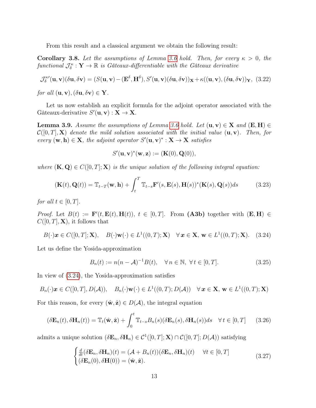From this result and a classical argument we obtain the following result:

**Corollary 3.8.** Let the assumptions of Lemma 3.6 hold. Then, for every  $\kappa > 0$ , the functional  $\mathcal{J}_{\delta}^{\kappa} : \mathbf{Y} \to \mathbb{R}$  is Gâteaux-differentiable with the Gâteaux derivative

$$
\mathcal{J}_{\delta}^{\kappa\prime}(\mathbf{u}, \mathbf{v})(\delta \mathbf{u}, \delta \mathbf{v}) = (S(\mathbf{u}, \mathbf{v}) - (\mathbf{E}^{\delta}, \mathbf{H}^{\delta}), S'(\mathbf{u}, \mathbf{v})(\delta \mathbf{u}, \delta \mathbf{v}))_{\mathbf{X}} + \kappa((\mathbf{u}, \mathbf{v}), (\delta \mathbf{u}, \delta \mathbf{v}))_{\mathbf{Y}}, (3.22)
$$

for all  $(\mathbf{u}, \mathbf{v}), (\delta \mathbf{u}, \delta \mathbf{v}) \in \mathbf{Y}$ .

Let us now establish an explicit formula for the adjoint operator associated with the Gâteaux-derivative  $S'(\mathbf{u}, \mathbf{v}) : \mathbf{X} \to \mathbf{X}$ .

**Lemma 3.9.** Assume the assumptions of Lemma 3.6 hold. Let  $(\mathbf{u}, \mathbf{v}) \in \mathbf{X}$  and  $(\mathbf{E}, \mathbf{H}) \in$  $\mathcal{C}([0,T], \mathbf{X})$  denote the mild solution associated with the initial value  $(\mathbf{u}, \mathbf{v})$ . Then, for every  $(\mathbf{w}, \mathbf{h}) \in \mathbf{X}$ , the adjoint operator  $S'(\mathbf{u}, \mathbf{v})^* : \mathbf{X} \to \mathbf{X}$  satisfies

$$
S'(\mathbf{u},\mathbf{v})^*(\mathbf{w},\mathbf{z}):=(\mathbf{K}(0),\mathbf{Q}(0)),
$$

where  $(\mathbf{K}, \mathbf{Q}) \in C([0,T]; \mathbf{X})$  is the unique solution of the following integral equation:

$$
(\mathbf{K}(t), \mathbf{Q}(t)) = \mathbb{T}_{t-T}(\mathbf{w}, \mathbf{h}) + \int_{t}^{T} \mathbb{T}_{t-s} \mathbf{F}'(s, \mathbf{E}(s), \mathbf{H}(s))^* (\mathbf{K}(s), \mathbf{Q}(s)) ds
$$
(3.23)

for all  $t \in [0, T]$ .

*Proof.* Let  $B(t) := \mathbf{F}'(t, \mathbf{E}(t), \mathbf{H}(t)), t \in [0, T].$  From (A3b) together with  $(\mathbf{E}, \mathbf{H}) \in$  $C([0,T], \mathbf{X})$ , it follows that

$$
B(\cdot)\boldsymbol{x} \in C([0,T]; \mathbf{X}), \quad B(\cdot)\mathbf{w}(\cdot) \in L^1((0,T); \mathbf{X}) \quad \forall \, \boldsymbol{x} \in \mathbf{X}, \, \mathbf{w} \in L^1((0,T); \mathbf{X}). \tag{3.24}
$$

Let us define the Yosida-approximation

$$
B_n(t) := n(n - A)^{-1}B(t), \quad \forall n \in \mathbb{N}, \ \forall t \in [0, T].
$$
 (3.25)

In view of (3.24), the Yosida-approximation satisfies

$$
B_n(\cdot)\boldsymbol{x} \in C([0,T],D(\mathcal{A})), \quad B_n(\cdot)\mathbf{w}(\cdot) \in L^1((0,T);D(\mathcal{A})) \quad \forall \, \boldsymbol{x} \in \mathbf{X}, \, \mathbf{w} \in L^1((0,T);\mathbf{X})
$$

For this reason, for every  $(\hat{\mathbf{w}}, \hat{\mathbf{z}}) \in D(\mathcal{A})$ , the integral equation

$$
(\delta \mathbf{E}_n(t), \delta \mathbf{H}_n(t)) = \mathbb{T}_t(\hat{\mathbf{w}}, \hat{\mathbf{z}}) + \int_0^t \mathbb{T}_{t-s} B_n(s) (\delta \mathbf{E}_n(s), \delta \mathbf{H}_n(s)) ds \quad \forall t \in [0, T]
$$
(3.26)

admits a unique solution  $(\delta \mathbf{E}_n, \delta \mathbf{H}_n) \in C^1([0, T]; \mathbf{X}) \cap C([0, T]; D(\mathcal{A}))$  satisfying

$$
\begin{cases}\n\frac{d}{dt}(\delta \mathbf{E}_n, \delta \mathbf{H}_n)(t) = (\mathcal{A} + B_n(t))(\delta \mathbf{E}_n, \delta \mathbf{H}_n)(t) \quad \forall t \in [0, T] \\
(\delta \mathbf{E}_n(0), \delta \mathbf{H}(0)) = (\hat{\mathbf{w}}, \hat{\mathbf{z}}).\n\end{cases}
$$
\n(3.27)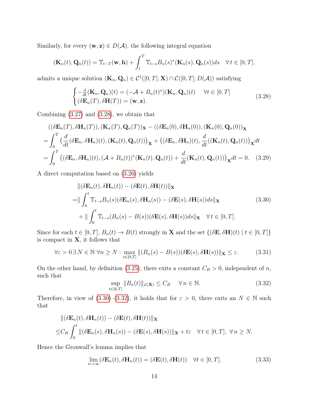Similarly, for every  $(\mathbf{w}, \mathbf{z}) \in D(\mathcal{A})$ , the following integral equation

$$
(\mathbf{K}_n(t), \mathbf{Q}_n(t)) = \mathbb{T}_{t-T}(\mathbf{w}, \mathbf{h}) + \int_t^T \mathbb{T}_{t-s} B_n(s)^*(\mathbf{K}_n(s), \mathbf{Q}_n(s)) ds \quad \forall t \in [0, T].
$$

admits a unique solution  $(\mathbf{K}_n, \mathbf{Q}_n) \in C^1([0, T]; \mathbf{X}) \cap C([0, T]; D(\mathcal{A}))$  satisfying

$$
\begin{cases}\n-\frac{d}{dt}(\mathbf{K}_n, \mathbf{Q}_n)(t) = (-\mathcal{A} + B_n(t)^*)(\mathbf{K}_n, \mathbf{Q}_n)(t) & \forall t \in [0, T] \\
(\delta \mathbf{E}_n(T), \delta \mathbf{H}(T)) = (\mathbf{w}, \mathbf{z}).\n\end{cases}
$$
\n(3.28)

Combining (3.27) and (3.28), we obtain that

$$
((\delta \mathbf{E}_n(T), \delta \mathbf{H}_n(T)), (\mathbf{K}_n(T), \mathbf{Q}_n(T))_{\mathbf{X}} - ((\delta \mathbf{E}_n(0), \delta \mathbf{H}_n(0)), (\mathbf{K}_n(0), \mathbf{Q}_n(0))_{\mathbf{X}}= \int_0^T \left(\frac{d}{dt} (\delta \mathbf{E}_n, \delta \mathbf{H}_n)(t), (\mathbf{K}_n(t), \mathbf{Q}_n(t))\right)_{\mathbf{X}} + ((\delta \mathbf{E}_n, \delta \mathbf{H}_n)(t), \frac{d}{dt} ((\mathbf{K}_n(t), \mathbf{Q}_n(t)))_{\mathbf{X}} dt = \int_0^T \left((\delta \mathbf{E}_n, \delta \mathbf{H}_n)(t), (\mathcal{A} + B_n(t))^* (\mathbf{K}_n(t), \mathbf{Q}_n(t)) + \frac{d}{dt} (\mathbf{K}_n(t), \mathbf{Q}_n(t))\right)_{\mathbf{X}} dt = 0.
$$
 (3.29)

A direct computation based on (3.26) yields

$$
\|(\delta \mathbf{E}_n(t), \delta \mathbf{H}_n(t)) - (\delta \mathbf{E}(t), \delta \mathbf{H}(t))\|_{\mathbf{X}}
$$
  
\n=
$$
\|\int_0^t \mathbb{T}_{t-s} B_n(s) (\delta \mathbf{E}_n(s), \delta \mathbf{H}_n(s)) - (\delta \mathbf{E}(s), \delta \mathbf{H}(s)) ds\|_{\mathbf{X}}
$$
(3.30)  
\n
$$
+\|\int_0^t \mathbb{T}_{t-s} (B_n(s) - B(s)) (\delta \mathbf{E}(s), \delta \mathbf{H}(s)) ds\|_{\mathbf{X}} \quad \forall t \in [0, T].
$$

Since for each  $t \in [0, T]$ ,  $B_n(t) \to B(t)$  strongly in **X** and the set  $\{(\delta \mathbf{E}, \delta \mathbf{H})(t) \mid t \in [0, T]\}$ is compact in  $X$ , it follows that

$$
\forall \varepsilon > 0 \,\exists \, N \in \mathbb{N} \,\forall n \ge N : \max_{s \in [0,T]} \|(B_n(s) - B(s))(\delta \mathbf{E}(s), \delta \mathbf{H}(s))\|_{\mathbf{X}} \le \varepsilon. \tag{3.31}
$$

On the other hand, by definition (3.25), there exits a constant  $C_B > 0$ , independent of n, such that

$$
\sup_{t \in [0,T]} \|B_n(t)\|_{\mathcal{L}(\mathbf{X})} \le C_B \quad \forall n \in \mathbb{N}.
$$
\n(3.32)

Therefore, in view of  $(3.30)$ – $(3.32)$ , it holds that for  $\varepsilon > 0$ , there exits an  $N \in \mathbb{N}$  such that

$$
\begin{aligned}\n\|(\delta \mathbf{E}_n(t), \delta \mathbf{H}_n(t)) - (\delta \mathbf{E}(t), \delta \mathbf{H}(t))\|_{\mathbf{X}} \\
\leq & C_B \int_0^t \|(\delta \mathbf{E}_n(s), \delta \mathbf{H}_n(s)) - (\delta \mathbf{E}(s), \delta \mathbf{H}(s))\|_{\mathbf{X}} + t\varepsilon \quad \forall \, t \in [0, T], \ \forall \, n \geq N.\n\end{aligned}
$$

Hence the Gronwall's lemma implies that

$$
\lim_{n \to \infty} (\delta \mathbf{E}_n(t), \delta \mathbf{H}_n(t)) = (\delta \mathbf{E}(t), \delta \mathbf{H}(t)) \quad \forall t \in [0, T].
$$
\n(3.33)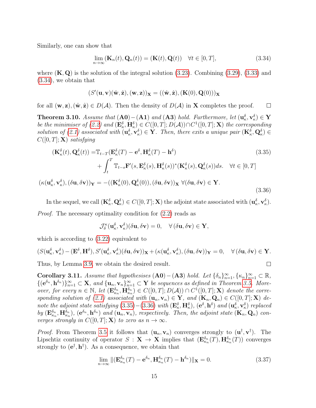Similarly, one can show that

$$
\lim_{n \to \infty} (\mathbf{K}_n(t), \mathbf{Q}_n(t)) = (\mathbf{K}(t), \mathbf{Q}(t)) \quad \forall t \in [0, T],
$$
\n(3.34)

(3.36)

 $\Box$ 

where  $(K, Q)$  is the solution of the integral solution (3.23). Combining (3.29), (3.33) and (3.34), we obtain that

$$
(S'(\mathbf{u},\mathbf{v})(\hat{\mathbf{w}},\hat{\mathbf{z}}),(\mathbf{w},\mathbf{z}))_{\mathbf{X}}=((\hat{\mathbf{w}},\hat{\mathbf{z}}),(\mathbf{K}(0),\mathbf{Q}(0)))_{\mathbf{X}}
$$

for all  $(\mathbf{w}, \mathbf{z}), (\hat{\mathbf{w}}, \hat{\mathbf{z}}) \in D(\mathcal{A})$ . Then the density of  $D(\mathcal{A})$  in **X** completes the proof.  $\Box$ 

Theorem 3.10. Assume that  $(A0) - (A1)$  and  $(A3)$  hold. Furthermore, let  $(u_{\kappa}^{\delta}, v_{\kappa}^{\delta}) \in Y$ be the minimiser of (2.2) and  $(\mathbf{E}_{\kappa}^{\delta}, \mathbf{H}_{\kappa}^{\delta}) \in C([0, T]; D(\mathcal{A})) \cap C^{1}([0, T]; \mathbf{X})$  the corresponding solution of (2.1) associated with  $(\mathbf{u}_{\kappa}^{\delta}, \mathbf{v}_{\kappa}^{\delta}) \in \mathbf{Y}$ . Then, there exits a unique pair  $(\mathbf{K}_{\kappa}^{\delta}, \mathbf{Q}_{\kappa}^{\delta}) \in$  $C([0,T]; \mathbf{X})$  satisfying

$$
(\mathbf{K}_{\kappa}^{\delta}(t), \mathbf{Q}_{\kappa}^{\delta}(t)) = \mathbb{T}_{t-T}(\mathbf{E}_{\kappa}^{\delta}(T) - \mathbf{e}^{\delta}, \mathbf{H}_{\kappa}^{\delta}(T) - \mathbf{h}^{\delta})
$$
\n
$$
+ \int_{t}^{T} \mathbb{T}_{t-s} \mathbf{F}'(s, \mathbf{E}_{\kappa}^{\delta}(s), \mathbf{H}_{\kappa}^{\delta}(s))^{\ast} (\mathbf{K}_{\kappa}^{\delta}(s), \mathbf{Q}_{\kappa}^{\delta}(s)) ds. \quad \forall t \in [0, T]
$$
\n
$$
(\kappa(\mathbf{u}_{\kappa}^{\delta}, \mathbf{v}_{\kappa}^{\delta}), (\delta \mathbf{u}, \delta \mathbf{v}))_{\mathbf{Y}} = -((\mathbf{K}_{\kappa}^{\delta}(0), \mathbf{Q}_{\kappa}^{\delta}(0)), (\delta \mathbf{u}, \delta \mathbf{v}))_{\mathbf{X}} \ \forall (\delta \mathbf{u}, \delta \mathbf{v}) \in \mathbf{Y}.
$$
\n(3.35)

In the sequel, we call  $(\mathbf{K}_{\kappa}^{\delta}, \mathbf{Q}_{\kappa}^{\delta}) \in C([0, T]; \mathbf{X})$  the adjoint state associated with  $(\mathbf{u}_{\kappa}^{\delta}, \mathbf{v}_{\kappa}^{\delta})$ .

Proof. The necessary optimality condition for (2.2) reads as

$$
\mathcal{J}_{\delta}^{\kappa}(\mathbf{u}_{\kappa}^{\delta}, \mathbf{v}_{\kappa}^{\delta})(\delta \mathbf{u}, \delta \mathbf{v}) = 0, \quad \forall (\delta \mathbf{u}, \delta \mathbf{v}) \in \mathbf{Y},
$$

which is according to  $(3.22)$  equivalent to

$$
(S(\mathbf{u}_{\kappa}^{\delta}, \mathbf{v}_{\kappa}^{\delta}) - (\mathbf{E}^{\delta}, \mathbf{H}^{\delta}), S'(\mathbf{u}_{\kappa}^{\delta}, \mathbf{v}_{\kappa}^{\delta})(\delta \mathbf{u}, \delta \mathbf{v}))_{\mathbf{X}} + (\kappa(\mathbf{u}_{\kappa}^{\delta}, \mathbf{v}_{\kappa}^{\delta}), (\delta \mathbf{u}, \delta \mathbf{v}))_{\mathbf{Y}} = 0, \quad \forall (\delta \mathbf{u}, \delta \mathbf{v}) \in \mathbf{Y}.
$$

Thus, by Lemma 3.9, we obtain the desired result.

Corollary 3.11. Assume that hypothesises  $(A0) - (A3)$  hold. Let  $\{\delta_n\}_{n=1}^{\infty}, \{\kappa_n\}_{n=1}^{\infty} \subset \mathbb{R}$ ,  $\{(\mathbf{e}^{\delta_n}, \mathbf{h}^{\delta_n})\}_{n=1}^{\infty} \subset \mathbf{X}$ , and  $\{\mathbf{u}_n, \mathbf{v}_n\}_{n=1}^{\infty} \subset \mathbf{Y}$  be sequences as defined in Theorem 3.5. Moreover, for every  $n \in \mathbb{N}$ , let  $(E_{\kappa_n}^{\delta_n}, \tilde{H}_{\kappa_n}^{\delta_n}) \in C([0,T]; D(\mathcal{A})) \cap C^1([0,T]; \mathbf{X})$  denote the corresponding solution of (2.1) associated with  $(\mathbf{u}_n, \mathbf{v}_n) \in \mathbf{Y}$ , and  $(\mathbf{K}_n, \mathbf{Q}_n) \in C([0, T]; \mathbf{X})$  denote the adjoint state satisfying  $(3.35)-(3.36)$  with  $(\mathbf{E}_{\kappa}^{\delta}, \mathbf{H}_{\kappa}^{\delta})$ ,  $(\mathbf{e}^{\delta}, \mathbf{h}^{\delta})$  and  $(\mathbf{u}_{\kappa}^{\delta}, \mathbf{v}_{\kappa}^{\delta})$  replaced by  $(\mathbf{E}_{\kappa_n}^{\delta_n}, \mathbf{H}_{\kappa_n}^{\delta_n}),$   $(\mathbf{e}^{\delta_n}, \mathbf{h}^{\delta_n})$  and  $(\mathbf{u}_n, \mathbf{v}_n)$ , respectively. Then, the adjoint state  $(\mathbf{K}_n, \mathbf{Q}_n)$  converges strongly in  $C([0,T]; \mathbf{X})$  to zero as  $n \to \infty$ .

*Proof.* From Theorem 3.5 it follows that  $(\mathbf{u}_n, \mathbf{v}_n)$  converges strongly to  $(\mathbf{u}^\dagger, \mathbf{v}^\dagger)$ . The Lipschtiz continuity of operator  $S: \mathbf{X} \to \mathbf{X}$  implies that  $(\mathbf{E}_{\kappa_n}^{\delta_n}(T), \mathbf{H}_{\kappa_n}^{\delta_n}(T))$  converges strongly to  $(e^{\dagger}, h^{\dagger})$ . As a consequence, we obtain that

$$
\lim_{n \to \infty} \| (\mathbf{E}_{\kappa_n}^{\delta_n}(T) - \mathbf{e}^{\delta_n}, \mathbf{H}_{\kappa_n}^{\delta_n}(T) - \mathbf{h}^{\delta_n}) \|_{\mathbf{X}} = 0.
$$
\n(3.37)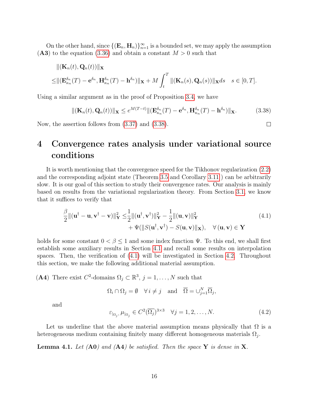On the other hand, since  ${(\mathbf{E}_n, \mathbf{H}_n)}_{n=1}^{\infty}$  is a bounded set, we may apply the assumption  $(A3)$  to the equation  $(3.36)$  and obtain a constant  $M > 0$  such that

$$
\begin{aligned}\n\|(\mathbf{K}_n(t), \mathbf{Q}_n(t))\| \mathbf{x} \\
\leq & \|( \mathbf{E}_{\kappa_n}^{\delta_n}(T) - \mathbf{e}^{\delta_n}, \mathbf{H}_{\kappa_n}^{\delta_n}(T) - \mathbf{h}^{\delta_n}) \| \mathbf{x} + M \int_t^T \|(\mathbf{K}_n(s), \mathbf{Q}_n(s)) \| \mathbf{x} ds \quad s \in [0, T].\n\end{aligned}
$$

Using a similar argument as in the proof of Proposition 3.4, we have

$$
\|(\mathbf{K}_n(t), \mathbf{Q}_n(t))\|_{\mathbf{X}} \leq e^{M(T-t)} \|(\mathbf{E}_{\kappa_n}^{\delta_n}(T) - \mathbf{e}^{\delta_n}, \mathbf{H}_{\kappa_n}^{\delta_n}(T) - \mathbf{h}^{\delta_n})\|_{\mathbf{X}}.
$$
 (3.38)

Now, the assertion follows from (3.37) and (3.38).

## <span id="page-17-0"></span>4 Convergence rates analysis under variational source conditions

It is worth mentioning that the convergence speed for the Tikhonov regularization (2.2) and the corresponding adjoint state (Theorem 3.5 and Corollary 3.11 ) can be arbitrarily slow. It is our goal of this section to study their convergence rates. Our analysis is mainly based on results from the variational regularization theory. From Section [3.1,](#page-7-1) we know that it suffices to verify that

$$
\frac{\beta}{2} \|( \mathbf{u}^{\dagger} - \mathbf{u}, \mathbf{v}^{\dagger} - \mathbf{v}) \|_{\mathbf{Y}}^2 \leq \frac{1}{2} \| (\mathbf{u}^{\dagger}, \mathbf{v}^{\dagger}) \|_{\mathbf{Y}}^2 - \frac{1}{2} \| (\mathbf{u}, \mathbf{v}) \|_{\mathbf{Y}}^2 + \Psi(\| S(\mathbf{u}^{\dagger}, \mathbf{v}^{\dagger}) - S(\mathbf{u}, \mathbf{v}) \|_{\mathbf{X}}), \quad \forall (\mathbf{u}, \mathbf{v}) \in \mathbf{Y}
$$
\n(4.1)

holds for some constant  $0 < \beta \leq 1$  and some index function  $\Psi$ . To this end, we shall first establish some auxiliary results in Section [4.1](#page-18-0) and recall some results on interpolation spaces. Then, the verification of (4.1) will be investigated in Section [4.2.](#page-20-0) Throughout this section, we make the following additional material assumption.

(A4) There exist  $C^2$ -domains  $\Omega_j \subset \mathbb{R}^3$ ,  $j = 1, ..., N$  such that

$$
\Omega_i \cap \Omega_j = \emptyset \quad \forall \, i \neq j \quad \text{and} \quad \overline{\Omega} = \cup_{j=1}^N \overline{\Omega}_j,
$$

and

$$
\varepsilon_{|\Omega_j, \mu|_{\Omega_j}} \in C^2(\overline{\Omega_j})^{3 \times 3} \quad \forall j = 1, 2, \dots, N. \tag{4.2}
$$

Let us underline that the above material assumption means physically that  $\Omega$  is a heterogeneous medium containing finitely many different homogeneous materials  $\Omega_j$ .

**Lemma 4.1.** Let  $(A0)$  and  $(A4)$  be satisfied. Then the space Y is dense in X.

 $\Box$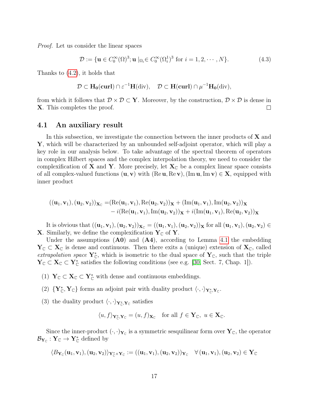Proof. Let us consider the linear spaces

$$
\mathcal{D} := \{ \mathbf{u} \in C_0^{\infty}(\Omega)^3; \mathbf{u} \mid_{\Omega_i} \in C_0^{\infty}(\Omega_i^1)^3 \text{ for } i = 1, 2, \cdots, N \}. \tag{4.3}
$$

Thanks to (4.2), it holds that

$$
\mathcal{D}\subset H_0(\mathbf{curl})\cap \varepsilon^{-1}H({\rm div}),\quad \mathcal{D}\subset H(\mathbf{curl})\cap \mu^{-1}H_0({\rm div}),
$$

from which it follows that  $\mathcal{D} \times \mathcal{D} \subset Y$ . Moreover, by the construction,  $\mathcal{D} \times \mathcal{D}$  is dense in X. This completes the proof.  $\Box$ 

#### <span id="page-18-0"></span>4.1 An auxiliary result

In this subsection, we investigate the connection between the inner products of  $X$  and Y, which will be characterized by an unbounded self-adjoint operator, which will play a key role in our analysis below. To take advantage of the spectral theorem of operators in complex Hilbert spaces and the complex interpolation theory, we need to consider the complexification of **X** and **Y**. More precisely, let  $X_{\mathbb{C}}$  be a complex linear space consists of all complex-valued functions  $(\mathbf{u}, \mathbf{v})$  with  $(\text{Re }\mathbf{u}, \text{Re }\mathbf{v})$ ,  $(\text{Im }\mathbf{u}, \text{Im }\mathbf{v}) \in \mathbf{X}$ , equipped with inner product

$$
((\mathbf{u}_1, \mathbf{v}_1), (\mathbf{u}_2, \mathbf{v}_2))\mathbf{x}_c = (Re(\mathbf{u}_1, \mathbf{v}_1), Re(\mathbf{u}_2, \mathbf{v}_2))\mathbf{x} + (Im(\mathbf{u}_1, \mathbf{v}_1), Im(\mathbf{u}_2, \mathbf{v}_2))\mathbf{x}- i(Re(\mathbf{u}_1, \mathbf{v}_1), Im(\mathbf{u}_2, \mathbf{v}_2))\mathbf{x} + i(Im(\mathbf{u}_1, \mathbf{v}_1), Re(\mathbf{u}_2, \mathbf{v}_2))\mathbf{x}
$$

It is obvious that  $((\mathbf{u}_1, \mathbf{v}_1),(\mathbf{u}_2, \mathbf{v}_2))_{\mathbf{X}_{\mathbb{C}}}$  =  $((\mathbf{u}_1, \mathbf{v}_1),(\mathbf{u}_2, \mathbf{v}_2))_{\mathbf{X}}$  for all  $(\mathbf{u}_1, \mathbf{v}_1),(\mathbf{u}_2, \mathbf{v}_2)$   $\in$ **X**. Similarly, we define the complexification  $Y_{\mathbb{C}}$  of Y.

Under the assumptions  $(A0)$  and  $(A4)$ , according to Lemma 4.1 the embedding  $Y_{\mathbb{C}} \subset X_{\mathbb{C}}$  is dense and continuous. Then there exits a (unique) extension of  $X_{\mathbb{C}}$ , called extrapolation space  $Y^*_{\mathbb{C}}$ , which is isometric to the dual space of  $Y_{\mathbb{C}}$ , such that the triple  $\mathbf{Y}_{\mathbb{C}} \subset \mathbf{X}_{\mathbb{C}} \subset \mathbf{Y}_{\mathbb{C}}^*$  satisfies the following conditions (see e.g. [30, Sect. 7, Chap. 1]).

- (1)  $Y_{\mathbb{C}} \subset X_{\mathbb{C}} \subset Y_{\mathbb{C}}^*$  with dense and continuous embeddings.
- (2)  $\{Y^*_\mathbb{C}, Y_\mathbb{C}\}$  forms an adjoint pair with duality product  $\langle \cdot, \cdot \rangle_{Y^*_\mathbb{C}, Y_\mathbb{C}}$ .
- (3) the duality product  $\langle \cdot, \cdot \rangle_{\mathbf{Y}_{\mathbb{C}}^*, \mathbf{Y}_{\mathbb{C}}}$  satisfies

$$
\langle u, f \rangle_{\mathbf{Y}_{\mathbb{C}}^*, \mathbf{Y}_{\mathbb{C}}} = (u, f)_{\mathbf{X}_{\mathbb{C}}} \text{ for all } f \in \mathbf{Y}_{\mathbb{C}}, u \in \mathbf{X}_{\mathbb{C}}.
$$

Since the inner-product  $(\cdot, \cdot)_{Y_{\mathbb{C}}}$  is a symmetric sesquilinear form over  $Y_{\mathbb{C}}$ , the operator  $\mathcal{B}_{\mathbf{Y}_{\mathbb{C}}} : \mathbf{Y}_{\mathbb{C}} \to \mathbf{Y}_{\mathbb{C}}^*$  defined by

$$
\langle B_{\mathbf{Y}_{\mathbb C}}(\mathbf{u}_1,\mathbf{v}_1),(\mathbf{u}_2,\mathbf{v}_2)\rangle_{\mathbf{Y}_{\mathbb C}^*\times\mathbf{Y}_{\mathbb C}}:=((\mathbf{u}_1,\mathbf{v}_1),(\mathbf{u}_2,\mathbf{v}_2))_{\mathbf{Y}_{\mathbb C}}\quad\forall\,(\mathbf{u}_1,\mathbf{v}_1),(\mathbf{u}_2,\mathbf{v}_2)\in\mathbf{Y}_{\mathbb C}
$$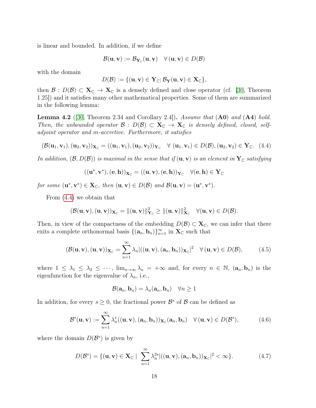is linear and bounded. In addition, if we define

$$
\mathcal{B}(\mathbf{u}, \mathbf{v}) := \mathcal{B}_{\mathbf{Y}_{\mathbb{C}}}(\mathbf{u}, \mathbf{v}) \quad \forall (\mathbf{u}, \mathbf{v}) \in D(\mathcal{B})
$$

with the domain

$$
D(\mathcal{B}) := \{(\mathbf{u}, \mathbf{v}) \in \mathbf{Y}_{\mathbb{C}}; \mathcal{B}_{\mathbf{Y}}(\mathbf{u}, \mathbf{v}) \in \mathbf{X}_{\mathbb{C}}\},\
$$

then  $\mathcal{B}: D(\mathcal{B}) \subset \mathbf{X}_{\mathbb{C}} \to \mathbf{X}_{\mathbb{C}}$  is a densely defined and close operator (cf. [30, Theorem 1.25]) and it satisfies many other mathematical properties. Some of them are summarized in the following lemma:

**Lemma 4.2** ([30, Theorem 2.34 and Corollary 2.4]). Assume that  $($ **A0** $)$  and  $($ **A4** $)$  hold. Then, the unbounded operator  $\mathcal{B}: D(\mathcal{B}) \subset \mathbf{X}_{\mathbb{C}} \to \mathbf{X}_{\mathbb{C}}$  is densely defined, closed, selfadjoint operator and m-accretive. Furthermore, it satisfies

$$
(\mathcal{B}(\mathbf{u}_1, \mathbf{v}_1), (\mathbf{u}_2, \mathbf{v}_2))_{\mathbf{X}_{\mathbb{C}}} = ((\mathbf{u}_1, \mathbf{v}_1), (\mathbf{u}_2, \mathbf{v}_2))_{\mathbf{Y}_{\mathbb{C}}} \quad \forall (\mathbf{u}_1, \mathbf{v}_1) \in D(\mathcal{B}), (\mathbf{u}_2, \mathbf{v}_2) \in \mathbf{Y}_{\mathbb{C}}.
$$
 (4.4)

In addition,  $(\mathcal{B}, D(\mathcal{B}))$  is maximal in the sense that if  $(\mathbf{u}, \mathbf{v})$  is an element in  $\mathbf{Y}_{\mathbb{C}}$  satisfying

$$
((\mathbf{u}^*,\mathbf{v}^*),(\mathbf{e},\mathbf{h}))_{\mathbf{X}_{\mathbb C}}=((\mathbf{u},\mathbf{v}),(\mathbf{e},\mathbf{h}))_{\mathbf{Y}_{\mathbb C}}\quad\forall (\mathbf{e},\mathbf{h})\in\mathbf{Y}_{\mathbb C}
$$

for some  $(\mathbf{u}^*, \mathbf{v}^*) \in \mathbf{X}_{\mathbb{C}}$ , then  $(\mathbf{u}, \mathbf{v}) \in D(\mathcal{B})$  and  $\mathcal{B}(\mathbf{u}, \mathbf{v}) = (\mathbf{u}^*, \mathbf{v}^*)$ .

From (4.4) we obtain that

$$
(\mathcal{B}(\mathbf{u},\mathbf{v}),(\mathbf{u},\mathbf{v}))_{\mathbf{X}_{\mathbb{C}}}=\|(\mathbf{u},\mathbf{v})\|_{\mathbf{Y}_{\mathbb{C}}}^2\geq \|(\mathbf{u},\mathbf{v})\|_{\mathbf{X}_{\mathbb{C}}}^2 \quad \forall (\mathbf{u},\mathbf{v})\in D(\mathcal{B}).
$$

Then, in view of the compactness of the embedding  $D(\mathcal{B}) \subset \mathbf{X}_{\mathbb{C}}$ , we can infer that there exits a complete orthonormal basis  $\{(\mathbf{a}_n, \mathbf{b}_n)\}_{n=1}^{\infty}$  in  $\mathbf{X}_{\mathbb{C}}$  such that

$$
(\mathcal{B}(\mathbf{u}, \mathbf{v}), (\mathbf{u}, \mathbf{v}))_{\mathbf{X}_{\mathbb{C}}} = \sum_{n=1}^{\infty} \lambda_n |((\mathbf{u}, \mathbf{v}), (\mathbf{a}_n, \mathbf{b}_n))_{\mathbf{X}_{\mathbb{C}}}|^2 \quad \forall (\mathbf{u}, \mathbf{v}) \in D(\mathcal{B}), \tag{4.5}
$$

where  $1 \leq \lambda_1 \leq \lambda_2 \leq \cdots$ ,  $\lim_{n\to\infty} \lambda_n = +\infty$  and, for every  $n \in \mathbb{N}$ ,  $(\mathbf{a}_n, \mathbf{b}_n)$  is the eigenfunction for the eigenvalue of  $\lambda_n$ , i.e.,

$$
\mathcal{B}(\mathbf{a}_n, \mathbf{b}_n) = \lambda_n(\mathbf{a}_n, \mathbf{b}_n) \quad \forall n \ge 1
$$

In addition, for every  $s \geq 0$ , the fractional power  $\mathcal{B}^s$  of  $\mathcal{B}$  can be defined as

$$
\mathcal{B}^s(\mathbf{u}, \mathbf{v}) := \sum_{n=1}^{\infty} \lambda_n^s((\mathbf{u}, \mathbf{v}), (\mathbf{a}_n, \mathbf{b}_n))_{\mathbf{X}_{\mathbb{C}}}(\mathbf{a}_n, \mathbf{b}_n) \quad \forall (\mathbf{u}, \mathbf{v}) \in D(\mathcal{B}^s), \tag{4.6}
$$

where the domain  $D(\mathcal{B}^s)$  is given by

$$
D(\mathcal{B}^s) = \{(\mathbf{u}, \mathbf{v}) \in \mathbf{X}_{\mathbb{C}} \mid \sum_{n=1}^{\infty} \lambda_n^{2s} | ((\mathbf{u}, \mathbf{v}), (\mathbf{a}_n, \mathbf{b}_n))_{\mathbf{X}_{\mathbb{C}}}|^2 < \infty \}.
$$
 (4.7)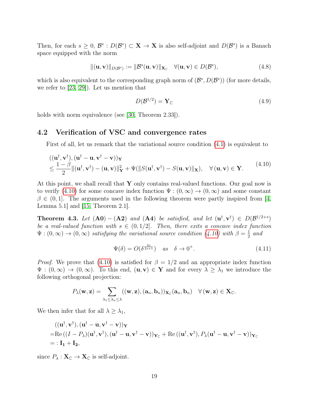Then, for each  $s \geq 0$ ,  $\mathcal{B}^s : D(\mathcal{B}^s) \subset \mathbf{X} \to \mathbf{X}$  is also self-adjoint and  $D(\mathcal{B}^s)$  is a Banach space equipped with the norm

$$
\|(\mathbf{u}, \mathbf{v})\|_{D(\mathcal{B}^s)} := \|\mathcal{B}^s(\mathbf{u}, \mathbf{v})\|_{\mathbf{X}_{\mathbb{C}}} \quad \forall (\mathbf{u}, \mathbf{v}) \in D(\mathcal{B}^s),
$$
\n(4.8)

which is also equivalent to the corresponding graph norm of  $(\mathcal{B}^s, D(\mathcal{B}^s))$  (for more details, we refer to [23, 29]). Let us mention that

$$
D(\mathcal{B}^{1/2}) = \mathbf{Y}_{\mathbb{C}} \tag{4.9}
$$

holds with norm equivalence (see [30, Theorem 2.33]).

#### <span id="page-20-0"></span>4.2 Verification of VSC and convergence rates

First of all, let us remark that the variational source condition (4.1) is equivalent to

$$
((\mathbf{u}^{\dagger}, \mathbf{v}^{\dagger}), (\mathbf{u}^{\dagger} - \mathbf{u}, \mathbf{v}^{\dagger} - \mathbf{v}))_{\mathbf{Y}}
$$
  
\n
$$
\leq \frac{1 - \beta}{2} ||(\mathbf{u}^{\dagger}, \mathbf{v}^{\dagger}) - (\mathbf{u}, \mathbf{v})||_{\mathbf{Y}}^2 + \Psi(||S(\mathbf{u}^{\dagger}, \mathbf{v}^{\dagger}) - S(\mathbf{u}, \mathbf{v})||_{\mathbf{X}}), \quad \forall (\mathbf{u}, \mathbf{v}) \in \mathbf{Y}.
$$
\n(4.10)

At this point, we shall recall that  $Y$  only contains real-valued functions. Our goal now is to verify (4.10) for some concave index function  $\Psi : (0, \infty) \to (0, \infty)$  and some constant  $\beta \in (0,1]$ . The arguments used in the following theorem were partly inspired from [4, Lemma 5.1] and [15, Theorem 2.1].

**Theorem 4.3.** Let  $(A0) - (A2)$  and  $(A4)$  be satisfied, and let  $(u^{\dagger}, v^{\dagger}) \in D(\mathcal{B}^{1/2+s})$ be a real-valued function with  $s \in (0, 1/2]$ . Then, there exits a concave index function  $\Psi: (0,\infty) \to (0,\infty)$  satisfying the variational source condition (4.10) with  $\beta = \frac{1}{2}$  $rac{1}{2}$  and

$$
\Psi(\delta) = O(\delta^{\frac{2s}{2s+1}}) \quad as \quad \delta \to 0^+.
$$
\n(4.11)

*Proof.* We prove that (4.10) is satisfied for  $\beta = 1/2$  and an appropriate index function  $\Psi : (0,\infty) \to (0,\infty)$ . To this end,  $(\mathbf{u},\mathbf{v}) \in \mathbf{Y}$  and for every  $\lambda \geq \lambda_1$  we introduce the following orthogonal projection:

$$
P_{\lambda}(\mathbf{w}, \mathbf{z}) = \sum_{\lambda_1 \leq \lambda_n \leq \lambda} ((\mathbf{w}, \mathbf{z}), (\mathbf{a}_n, \mathbf{b}_n))_{\mathbf{X}_{\mathbb{C}}}(\mathbf{a}_n, \mathbf{b}_n) \quad \forall (\mathbf{w}, \mathbf{z}) \in \mathbf{X}_{\mathbb{C}}.
$$

We then infer that for all  $\lambda \geq \lambda_1$ ,

$$
((\mathbf{u}^\dagger, \mathbf{v}^\dagger), (\mathbf{u}^\dagger - \mathbf{u}, \mathbf{v}^\dagger - \mathbf{v}))_\mathbf{Y}
$$
  
= Re  $((I - P_\lambda)(\mathbf{u}^\dagger, \mathbf{v}^\dagger), (\mathbf{u}^\dagger - \mathbf{u}, \mathbf{v}^\dagger - \mathbf{v}))_{\mathbf{Y}_\mathbb{C}} + \text{Re}((\mathbf{u}^\dagger, \mathbf{v}^\dagger), P_\lambda(\mathbf{u}^\dagger - \mathbf{u}, \mathbf{v}^\dagger - \mathbf{v}))_{\mathbf{Y}_\mathbb{C}}$   
= :  $\mathbf{I}_1 + \mathbf{I}_2$ ,

since  $P_{\lambda}: \mathbf{X}_{\mathbb{C}} \to \mathbf{X}_{\mathbb{C}}$  is self-adjoint.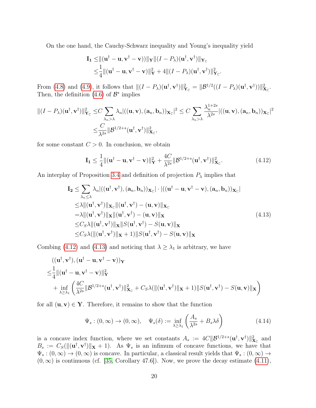On the one hand, the Cauchy-Schwarz inequality and Young's inequality yield

$$
\mathbf{I}_1 \leq ||(\mathbf{u}^\dagger - \mathbf{u}, \mathbf{v}^\dagger - \mathbf{v}))||_{\mathbf{Y}}|| (I - P_\lambda)(\mathbf{u}^\dagger, \mathbf{v}^\dagger)||_{\mathbf{Y}_\mathbb{C}} \n\leq \frac{1}{4} ||(\mathbf{u}^\dagger - \mathbf{u}, \mathbf{v}^\dagger - \mathbf{v})||_{\mathbf{Y}}^2 + 4 ||(I - P_\lambda)(\mathbf{u}^\dagger, \mathbf{v}^\dagger)||_{\mathbf{Y}_\mathbb{C}}^2.
$$

From (4.8) and (4.9), it follows that  $||(I - P_\lambda)(\mathbf{u}^\dagger, \mathbf{v}^\dagger)||^2_{\mathbf{Y}_\mathbb{C}} = ||\mathcal{B}^{1/2}((I - P_\lambda)(\mathbf{u}^\dagger, \mathbf{v}^\dagger))||^2_{\mathbf{X}_\mathbb{C}}.$ Then, the definition  $(4.6)$  of  $\mathcal{B}^s$  implies

$$
||(I - P_{\lambda})(\mathbf{u}^{\dagger}, \mathbf{v}^{\dagger})||_{\mathbf{Y}_{\mathbb{C}}}^2 \leq C \sum_{\lambda_n > \lambda} \lambda_n |((\mathbf{u}, \mathbf{v}), (\mathbf{a}_n, \mathbf{b}_n))_{\mathbf{X}_{\mathbb{C}}}|^2 \leq C \sum_{\lambda_n > \lambda} \frac{\lambda_n^{1+2s}}{\lambda^{2s}} |((\mathbf{u}, \mathbf{v}), (\mathbf{a}_n, \mathbf{b}_n))_{\mathbf{X}_{\mathbb{C}}}|^2
$$

$$
\leq \frac{C}{\lambda^{2s}} ||\mathcal{B}^{1/2+s}(\mathbf{u}^{\dagger}, \mathbf{v}^{\dagger})||_{\mathbf{X}_{\mathbb{C}}}^2,
$$

for some constant  $C > 0$ . In conclusion, we obtain

$$
\mathbf{I}_1 \le \frac{1}{4} ||(\mathbf{u}^\dagger - \mathbf{u}, \mathbf{v}^\dagger - \mathbf{v})||^2_{\mathbf{Y}} + \frac{4C}{\lambda^{2s}} ||\mathcal{B}^{1/2+s}(\mathbf{u}^\dagger, \mathbf{v}^\dagger)||^2_{\mathbf{X}_{\mathbb{C}}}.
$$
 (4.12)

An interplay of Proposition 3.4 and definition of projection  $P_{\lambda}$  implies that

$$
\mathbf{I}_{2} \leq \sum_{\lambda_{n} \leq \lambda} \lambda_{n} |((\mathbf{u}^{\dagger}, \mathbf{v}^{\dagger}), (\mathbf{a}_{n}, \mathbf{b}_{n}))_{\mathbf{X}_{\mathbb{C}}} | \cdot |((\mathbf{u}^{\dagger} - \mathbf{u}, \mathbf{v}^{\dagger} - \mathbf{v}), (\mathbf{a}_{n}, \mathbf{b}_{n}))_{\mathbf{X}_{\mathbb{C}}} |
$$
\n
$$
\leq \lambda ||(\mathbf{u}^{\dagger}, \mathbf{v}^{\dagger})||_{\mathbf{X}_{\mathbb{C}}} ||(\mathbf{u}^{\dagger}, \mathbf{v}^{\dagger}) - (\mathbf{u}, \mathbf{v})||_{\mathbf{X}_{\mathbb{C}}}
$$
\n
$$
= \lambda ||(\mathbf{u}^{\dagger}, \mathbf{v}^{\dagger})||_{\mathbf{X}} ||(\mathbf{u}^{\dagger}, \mathbf{v}^{\dagger}) - (\mathbf{u}, \mathbf{v})||_{\mathbf{X}}
$$
\n
$$
\leq C_{S} \lambda ||(\mathbf{u}^{\dagger}, \mathbf{v}^{\dagger})||_{\mathbf{X}} ||S(\mathbf{u}^{\dagger}, \mathbf{v}^{\dagger}) - S(\mathbf{u}, \mathbf{v})||_{\mathbf{X}}
$$
\n
$$
\leq C_{S} \lambda (||(\mathbf{u}^{\dagger}, \mathbf{v}^{\dagger})||_{\mathbf{X}} + 1) ||S(\mathbf{u}^{\dagger}, \mathbf{v}^{\dagger}) - S(\mathbf{u}, \mathbf{v})||_{\mathbf{X}}
$$
\n(4.13)

Combing (4.12) and (4.13) and noticing that  $\lambda \geq \lambda_1$  is arbitrary, we have

$$
\begin{aligned} & ((\mathbf{u}^\dagger, \mathbf{v}^\dagger), (\mathbf{u}^\dagger - \mathbf{u}, \mathbf{v}^\dagger - \mathbf{v}))_\mathbf{Y} \\ \leq & \frac{1}{4} ||(\mathbf{u}^\dagger - \mathbf{u}, \mathbf{v}^\dagger - \mathbf{v})||_\mathbf{Y}^2 \\ & + \inf_{\lambda \geq \lambda_1} \left( \frac{4C}{\lambda^{2s}} ||\mathcal{B}^{1/2+s}(\mathbf{u}^\dagger, \mathbf{v}^\dagger)||_\mathbf{X}^2 + C_S \lambda(||(\mathbf{u}^\dagger, \mathbf{v}^\dagger)||_\mathbf{X} + 1) ||S(\mathbf{u}^\dagger, \mathbf{v}^\dagger) - S(\mathbf{u}, \mathbf{v})||_\mathbf{X} \right) \end{aligned}
$$

for all  $(\mathbf{u}, \mathbf{v}) \in \mathbf{Y}$ . Therefore, it remains to show that the function

$$
\Psi_s : (0, \infty) \to (0, \infty), \quad \Psi_s(\delta) := \inf_{\lambda \ge \lambda_1} \left( \frac{A_s}{\lambda^{2s}} + B_s \lambda \delta \right)
$$
(4.14)

is a concave index function, where we set constants  $A_s := 4C ||B^{1/2+s}(\mathbf{u}^\dagger, \mathbf{v}^\dagger)||^2_{\mathbf{X}_{\mathbb{C}}}$  and  $B_s := C_S(\|(\mathbf{u}^\dagger, \mathbf{v}^\dagger)\|_{\mathbf{X}} + 1).$  As  $\Psi_s$  is an infimum of concave functions, we have that  $\Psi_s : (0, \infty) \to (0, \infty)$  is concave. In particular, a classical result yields that  $\Psi_s : (0, \infty) \to$  $(0, \infty)$  is continuous (cf. [35, Corollary 47.6]). Now, we prove the decay estimate (4.11),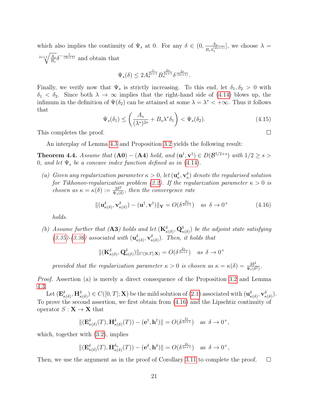which also implies the continuity of  $\Psi_s$  at 0. For any  $\delta \in (0, \frac{A_s}{B_s})^{(2s)}$  $\frac{A_s}{B_s\lambda_1^{(2s+1)}}$ , we choose  $\lambda =$  $_{2s+1}/\overline{A_s}$  $\frac{\overline{A_s}}{\overline{B_s}} \delta^{-\frac{1}{(2s+1)}}$  and obtain that

$$
\Psi_s(\delta) \le 2A_s^{\frac{1}{2s+1}} B_s^{\frac{2s}{2s+1}} \delta^{\frac{2s}{(2s+1)}}.
$$

Finally, we verify now that  $\Psi_s$  is strictly increasing. To this end, let  $\delta_1, \delta_2 > 0$  with  $\delta_1 < \delta_2$ . Since both  $\lambda \to \infty$  implies that the right-hand side of (4.14) blows up, the infimum in the definition of  $\Psi(\delta_2)$  can be attained at some  $\lambda = \lambda^* < +\infty$ . Thus it follows that

$$
\Psi_s(\delta_1) \le \left(\frac{A_s}{(\lambda^*)^{2s}} + B_s \lambda^* \delta_1\right) < \Psi_s(\delta_2). \tag{4.15}
$$

This completes the proof.

An interplay of Lemma 4.3 and Proposition 3.2 yields the following result:

**Theorem 4.4.** Assume that  $(A0) - (A4)$  hold, and  $(u^{\dagger}, v^{\dagger}) \in D(\mathcal{B}^{1/2+s})$  with  $1/2 \geq s >$ 0, and let  $\Psi_s$  be a concave index function defined as in (4.14).

(a) Given any regularization parameter  $\kappa > 0$ , let  $(\mathbf{u}_{\kappa}^{\delta}, \mathbf{v}_{\kappa}^{\delta})$  denote the regularised solution for Tikhonov-regularization problem (2.2). If the regularization parameter  $\kappa > 0$  is chosen as  $\kappa = \kappa(\delta) := \frac{2\delta^2}{\Psi(\delta)}$  $\frac{2\delta^2}{\Psi_s(\delta)}$ , then the convergence rate

$$
\|(\mathbf{u}_{\kappa(\delta)}^{\delta}, \mathbf{v}_{\kappa(\delta)}^{\delta}) - (\mathbf{u}^{\dagger}, \mathbf{v}^{\dagger})\|_{\mathbf{Y}} = O(\delta^{\frac{2s}{2s+1}}) \quad \text{as } \delta \to 0^+ \tag{4.16}
$$

holds.

(b) Assume further that (A3) holds and let  $(\mathbf{K}_{\kappa(\delta)}^{\delta}, \mathbf{Q}_{\kappa(\delta)}^{\delta})$  be the adjoint state satisfying  $(3.35)$ - $(3.36)$  associated with  $(\mathbf{u}^{\delta}_{\kappa(\delta)}, \mathbf{v}^{\delta}_{\kappa(\delta)})$ . Then, it holds that

$$
\|(\mathbf{K}^{\delta}_{\kappa(\delta)}, \mathbf{Q}^{\delta}_{\kappa(\delta)})\|_{C([0,T];\mathbf{X})} = O(\delta^{\frac{2s}{2s+1}}) \quad \text{as } \delta \to 0^+
$$

provided that the regularization parameter  $\kappa > 0$  is chosen as  $\kappa = \kappa(\delta) = \frac{2\delta^2}{\Psi(\delta)}$  $\frac{2\delta^2}{\Psi_s(\delta^2)}$  .

Proof. Assertion (a) is merely a direct consequence of the Proposition 3.2 and Lemma 4.3.

Let  $(\mathbf{E}_{\kappa(\delta)}^{\delta}, \mathbf{H}_{\kappa(\delta)}^{\delta}) \in C([0,T]; \mathbf{X})$  be the mild solution of  $(2.1)$  associated with  $(\mathbf{u}_{\kappa(\delta)}^{\delta}, \mathbf{v}_{\kappa(\delta)}^{\delta}).$ To prove the second assertion, we first obtain from (4.16) and the Lipschtiz continuity of operator  $S: \mathbf{X} \to \mathbf{X}$  that

$$
\|(\mathbf{E}_{\kappa(\delta)}^{\delta}(T),\mathbf{H}_{\kappa(\delta)}^{\delta}(T)) - (\mathbf{e}^{\dagger},\mathbf{h}^{\dagger})\| = O(\delta^{\frac{2s}{2s+1}}) \text{ as } \delta \to 0^+,
$$

which, together with  $(3.2)$ , implies

$$
\|(\mathbf{E}_{\kappa(\delta)}^{\delta}(T),\mathbf{H}_{\kappa(\delta)}^{\delta_n}(T)) - (\mathbf{e}^{\delta},\mathbf{h}^{\delta})\| = O(\delta^{\frac{2s}{2s+1}}) \text{ as } \delta \to 0^+,
$$

Then, we use the argument as in the proof of Corollary 3.11 to complete the proof.  $\Box$ 

 $\Box$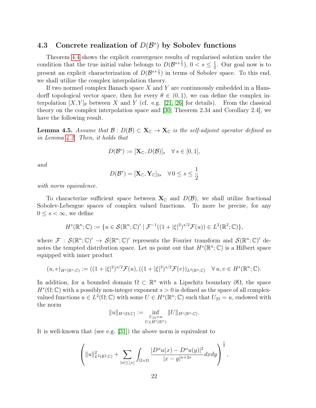### 4.3 Concrete realization of  $D(\mathcal{B}^s)$  by Sobolev functions

Theorem 4.4 shows the explicit convergence results of regularised solution under the condition that the true initial value belongs to  $D(\mathcal{B}^{s+\frac{1}{2}}), 0 < s \leq \frac{1}{2}$  $\frac{1}{2}$ . Our goal now is to present an explicit characterization of  $D(\mathcal{B}^{s+\frac{1}{2}})$  in terms of Sobolev space. To this end, we shall utilize the complex interpolation theory.

If two normed complex Banach space  $X$  and  $Y$  are continuously embedded in a Hausdorff topological vector space, then for every  $\theta \in (0,1)$ , we can define the complex interpolation  $[X, Y]_\theta$  between X and Y (cf. e.g. [21, 26] for details). From the classical theory on the complex interpolation space and [30, Theorem 2.34 and Corollary 2.4], we have the following result.

**Lemma 4.5.** Assume that  $\mathcal{B}: D(\mathcal{B}) \subset \mathbf{X}_{\mathbb{C}} \to \mathbf{X}_{\mathbb{C}}$  is the self-adjoint operator defined as in Lemma 4.2. Then, it holds that

$$
D(\mathcal{B}^s) := [\mathbf{X}_{\mathbb{C}}, D(\mathcal{B})]_s \quad \forall \, s \in [0, 1],
$$

and

$$
D(\mathcal{B}^s) = [\mathbf{X}_{\mathbb{C}}, \mathbf{Y}_{\mathbb{C}}]_{2s} \quad \forall \, 0 \le s \le \frac{1}{2}
$$

with norm equivalence.

To characterize sufficient space between  $X_{\mathbb{C}}$  and  $D(\mathcal{B})$ , we shall utilize fractional Sobolev-Lebesgue spaces of complex valued functions. To more be precise, for any  $0 \leq s < \infty$ , we define

$$
H^s(\mathbb{R}^n;\mathbb{C}) := \{ u \in \mathcal{S}(\mathbb{R}^n;\mathbb{C})' \mid \mathcal{F}^{-1}((1+|\xi|^2)^{s/2}\mathcal{F}(u)) \in L^2(\mathbb{R}^2;\mathbb{C}) \},
$$

where  $\mathcal{F}: \mathcal{S}(\mathbb{R}^n;\mathbb{C})' \to \mathcal{S}(\mathbb{R}^n;\mathbb{C})'$  represents the Fourier transform and  $\mathcal{S}(\mathbb{R}^n;\mathbb{C})'$  denotes the tempted distribution space. Let us point out that  $H^s(\mathbb{R}^n;\mathbb{C})$  is a Hilbert space equipped with inner product

$$
(u,v)_{H^s(\mathbb{R}^n;\mathbb{C})} := ((1+|\xi|^2)^{s/2} \mathcal{F}(u), ((1+|\xi|^2)^{s/2} \mathcal{F}(v))_{L^2(\mathbb{R}^n;\mathbb{C})} \quad \forall u, v \in H^s(\mathbb{R}^n;\mathbb{C}).
$$

In addition, for a bounded domain  $\Omega \subset \mathbb{R}^n$  with a Lipschitz boundary  $\partial \Omega$ , the space  $H^s(\Omega; \mathbb{C})$  with a possibly non-integer exponent  $s > 0$  is defined as the space of all complexvalued functions  $u \in L^2(\Omega; \mathbb{C})$  with some  $U \in H^s(\mathbb{R}^n; \mathbb{C})$  such that  $U_{|\Omega} = u$ , endowed with the norm

$$
||u||_{H^s(\Omega; \mathbb{C})} := \inf_{\substack{U_{|\Omega} = u \\ U \in H^s(\mathbb{R}^n)}} ||U||_{H^s(\mathbb{R}^n; \mathbb{C})}.
$$

It is well-known that (see e.g. [31]) the above norm is equivalent to

$$
\left(\|u\|_{L^2(\mathbb{R}^2;\mathbb{C})}^2+\sum_{|\alpha|\leq \lfloor s\rfloor}\int_{\Omega\times\Omega}\frac{|D^\alpha u(x)-D^\alpha u(y)|^2}{|x-y|^{n+2s}}dxdy\right)^{\frac{1}{2}},
$$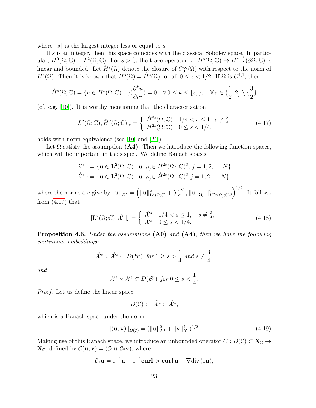where  $|s|$  is the largest integer less or equal to s

If s is an integer, then this space coincides with the classical Sobolev space. In particular,  $H^0(\Omega; \mathbb{C}) = L^2(\Omega; \mathbb{C})$ . For  $s > \frac{1}{2}$ , the trace operator  $\gamma : H^s(\Omega; \mathbb{C}) \to H^{s-\frac{1}{2}}(\partial \Omega; \mathbb{C})$  is linear and bounded. Let  $\mathring{H}^s(\Omega)$  denote the closure of  $C_0^{\infty}(\Omega)$  with respect to the norm of  $H^s(\Omega)$ . Then it is known that  $H^s(\Omega) = \mathring{H}^s(\Omega)$  for all  $0 \le s < 1/2$ . If  $\Omega$  is  $C^{1,1}$ , then

$$
\mathring{H}^s(\Omega; \mathbb{C}) = \{ u \in H^s(\Omega; \mathbb{C}) \mid \gamma(\frac{\partial^k u}{\partial \nu^k}) = 0 \quad \forall \, 0 \le k \le \lfloor s \rfloor \}, \quad \forall \, s \in \left(\frac{1}{2}, 2\right] \setminus \left\{ \frac{3}{2} \right\}
$$

(cf. e.g. [10]). It is worthy mentioning that the characterization

$$
[L^{2}(\Omega; \mathbb{C}), \mathring{H}^{2}(\Omega; \mathbb{C})]_{s} = \begin{cases} \mathring{H}^{2s}(\Omega; \mathbb{C}) & 1/4 < s \le 1, \ s \neq \frac{3}{4} \\ H^{2s}(\Omega; \mathbb{C}) & 0 \le s < 1/4. \end{cases}
$$
(4.17)

holds with norm equivalence (see [10] and [21]).

Let  $\Omega$  satisfy the assumption (A4). Then we introduce the following function spaces, which will be important in the sequel. We define Banach spaces

$$
\mathcal{X}^s := \{ \mathbf{u} \in \mathbf{L}^2(\Omega; \mathbb{C}) \mid \mathbf{u} \mid_{\Omega_j} \in H^{2s}(\Omega_j; \mathbb{C})^3, j = 1, 2, \dots N \}
$$
  

$$
\mathring{\mathcal{X}}^s := \{ \mathbf{u} \in \mathbf{L}^2(\Omega; \mathbb{C}) \mid \mathbf{u} \mid_{\Omega_j} \in \mathring{H}^{2s}(\Omega_j; \mathbb{C})^3 \mid j = 1, 2, \dots N \}
$$

where the norms are give by  $\|\mathbf{u}\|_{\mathcal{X}^s} = \left(\|\mathbf{u}\|_{\mathbf{L}^2(\Omega;\mathbb{C})}^2 + \sum_{j=1}^N \|\mathbf{u}\|_{\Omega_j} \right\|_{H^{2s}(\Omega_j;\mathbb{C})^3}^2\right)^{1/2}$ . It follows from  $(4.17)$  that

$$
[\mathbf{L}^{2}(\Omega; \mathbb{C}), \mathring{\mathcal{X}}^{1}]_{s} = \begin{cases} \mathring{\mathcal{X}}^{s} & 1/4 < s \le 1, \quad s \neq \frac{3}{4}, \\ \mathcal{X}^{s} & 0 \le s < 1/4. \end{cases} \tag{4.18}
$$

Proposition 4.6. Under the assumptions (A0) and (A4), then we have the following continuous embeddings:

$$
\mathring{\mathcal{X}}^s \times \mathring{\mathcal{X}}^s \subset D(\mathcal{B}^s) \text{ for } 1 \ge s > \frac{1}{4} \text{ and } s \neq \frac{3}{4},
$$

and

$$
\mathcal{X}^s \times \mathcal{X}^s \subset D(\mathcal{B}^s) \ \text{for} \ 0 \leq s < \frac{1}{4}.
$$

Proof. Let us define the linear space

$$
D(\mathcal{C}) := \mathring{\mathcal{X}}^1 \times \mathring{\mathcal{X}}^1,
$$

which is a Banach space under the norm

$$
\|(\mathbf{u}, \mathbf{v})\|_{D(\mathcal{C})} = (\|\mathbf{u}\|_{\mathcal{X}^1}^2 + \|\mathbf{v}\|_{\mathcal{X}^1}^2)^{1/2}.
$$
 (4.19)

Making use of this Banach space, we introduce an unbounded operator  $C : D(\mathcal{C}) \subset \mathbf{X}_{\mathbb{C}} \to$  $\mathbf{X}_{\mathbb{C}}$ , defined by  $\mathcal{C}(\mathbf{u}, \mathbf{v}) = (\mathcal{C}_1 \mathbf{u}, \mathcal{C}_2 \mathbf{v})$ , where

$$
\mathcal{C}_1 \mathbf{u} = \varepsilon^{-1} \mathbf{u} + \varepsilon^{-1} \mathbf{curl} \times \mathbf{curl} \mathbf{u} - \nabla \text{div} (\varepsilon \mathbf{u}),
$$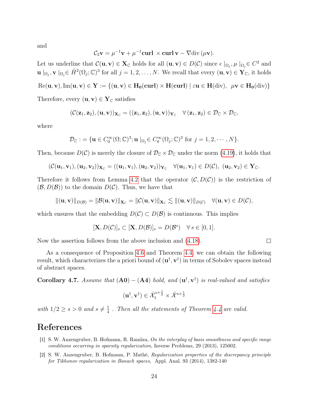and

$$
C_2\mathbf{v} = \mu^{-1}\mathbf{v} + \mu^{-1}\mathbf{curl} \times \mathbf{curl}\,\mathbf{v} - \nabla \text{div}(\mu \mathbf{v}).
$$

Let us underline that  $\mathcal{C}(\mathbf{u}, \mathbf{v}) \in \mathbf{X}_{\mathbb{C}}$  holds for all  $(\mathbf{u}, \mathbf{v}) \in D(\mathcal{C})$  since  $\epsilon |_{\Omega_j}, \mu |_{\Omega_j} \in C^2$  and  $\mathbf{u} \mid_{\Omega_j} \mathbf{v} \mid_{\Omega_j} \in \mathring{H}^2(\Omega_j; \mathbb{C})^3$  for all  $j = 1, 2, \ldots, N$ . We recall that every  $(\mathbf{u}, \mathbf{v}) \in \mathbf{Y}_{\mathbb{C}}$ , it holds

 $\text{Re}(\mathbf{u}, \mathbf{v}), \text{Im}(\mathbf{u}, \mathbf{v}) \in \mathbf{Y} := \{(\mathbf{u}, \mathbf{v}) \in \mathbf{H_0}(\mathbf{curl}) \times \mathbf{H}(\mathbf{curl}) \mid \varepsilon \mathbf{u} \in \mathbf{H}(\text{div}), \ \mu \mathbf{v} \in \mathbf{H_0}(\text{div})\}$ 

Therefore, every  $(\mathbf{u}, \mathbf{v}) \in \mathbf{Y}_{\mathbb{C}}$  satisfies

$$
(\mathcal{C}(\mathbf{z}_1, \mathbf{z}_2), (\mathbf{u}, \mathbf{v}))_{\mathbf{X}_{\mathbb{C}}} = ((\mathbf{z}_1, \mathbf{z}_2), (\mathbf{u}, \mathbf{v}))_{\mathbf{Y}_{\mathbb{C}}} \quad \forall \, (\mathbf{z}_1, \mathbf{z}_2) \in \mathcal{D}_{\mathbb{C}} \times \mathcal{D}_{\mathbb{C}},
$$

where

$$
\mathcal{D}_{\mathbb{C}} := \{ \mathbf{u} \in C_0^{\infty}(\Omega; \mathbb{C})^3; \mathbf{u} \mid_{\Omega_j} \in C_0^{\infty}(\Omega_j; \mathbb{C})^3 \text{ for } j = 1, 2, \cdots, N \}.
$$

Then, because  $D(\mathcal{C})$  is merely the closure of  $\mathcal{D}_{\mathbb{C}} \times \mathcal{D}_{\mathbb{C}}$  under the norm (4.19), it holds that

$$
(\mathcal{C}(\mathbf{u}_1,\mathbf{v}_1),(\mathbf{u}_2,\mathbf{v}_2))\mathbf{x}_{\mathbb{C}}=((\mathbf{u}_1,\mathbf{v}_1),(\mathbf{u}_2,\mathbf{v}_2))\mathbf{v}_{\mathbb{C}}\quad\forall(\mathbf{u}_1,\mathbf{v}_1)\in D(\mathcal{C}),\ (\mathbf{u}_2,\mathbf{v}_2)\in\mathbf{Y}_{\mathbb{C}}.
$$

Therefore it follows from Lemma 4.2 that the operator  $(C, D(C))$  is the restriction of  $(\mathcal{B}, D(\mathcal{B}))$  to the domain  $D(\mathcal{C})$ . Thus, we have that

$$
\|(\mathbf{u},\mathbf{v})\|_{D(\mathcal{B})}=\|\mathcal{B}(\mathbf{u},\mathbf{v})\|_{\mathbf{X}_{\mathbb{C}}}=\|C(\mathbf{u},\mathbf{v})\|_{\mathbf{X}_{\mathbb{C}}}\lesssim \|(\mathbf{u},\mathbf{v})\|_{D(\mathcal{C})} \quad \forall (\mathbf{u},\mathbf{v})\in D(\mathcal{C}),
$$

which ensures that the embedding  $D(C) \subset D(\mathcal{B})$  is continuous. This implies

$$
[\mathbf{X}, D(\mathcal{C})]_s \subset [\mathbf{X}, D(\mathcal{B})]_s = D(\mathcal{B}^s) \quad \forall s \in [0, 1].
$$

Now the assertion follows from the above inclusion and (4.18).

 $\overline{a}$ 

As a consequence of Proposition 4.6 and Theorem 4.4, we can obtain the following result, which characterizes the a priori bound of  $(\mathbf{u}^{\dagger}, \mathbf{v}^{\dagger})$  in terms of Sobolev spaces instead of abstract spaces.

**Corollary 4.7.** Assume that  $(A0) - (A4)$  hold, and  $(u^{\dagger}, v^{\dagger})$  is real-valued and satisfies

$$
(\mathbf{u}^\dagger, \mathbf{v}^\dagger) \in \mathring{\mathcal{X}}_1^{s+\frac{1}{2}} \times \mathring{\mathcal{X}}^{s+\frac{1}{2}}
$$

with  $1/2 \geq s > 0$  and  $s \neq \frac{1}{4}$  $\frac{1}{4}$ . Then all the statements of Theorem 4.4 are valid.

### References

- [1] S. W. Anzengruber, B. Hofmann, R. Ramlau, On the interplay of basis smoothness and specific range conditions occurring in sparsity regularization, Inverse Problems, 29 (2013), 125002.
- [2] S. W. Anzengruber, B. Hofmann, P. Mathé, Regularization properties of the discrepancy principle for Tikhonov regularization in Banach spaces, Appl. Anal. 93 (2014), 1382-140

 $\Box$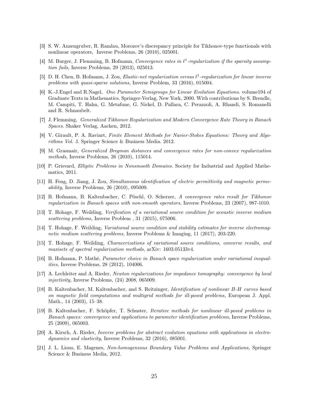- [3] S. W. Anzengruber, R. Ramlau, Morozov's discrepancy principle for Tikhonov-type functionals with nonlinear operators, Inverse Problems, 26 (2010), 025001.
- [4] M. Burger, J. Flemming, B. Hofmann, Convergence rates in  $\ell^1$ -regularization if the sparsity assumption fails, Inverse Problems, 29 (2013), 025013.
- [5] D. H. Chen, B. Hofmann, J. Zou, Elastic-net regularization versus  $\ell^1$ -regularization for linear inverse problems with quasi-sparse solutions, Inverse Problem, 33 (2016), 015004.
- [6] K.-J.Engel and R.Nagel, One Parameter Semigroups for Linear Evolution Equations. volume194 of Graduate Texts in Mathematics. Springer-Verlag, New York, 2000. With contributions by S. Brendle, M. Campiti, T. Hahn, G. Metafune, G. Nickel, D. Pallara, C. Perazzoli, A. Rhandi, S. Romanelli and R. Schnaubelt.
- [7] J. Flemming, Generalized Tikhonov Regularization and Modern Convergence Rate Theory in Banach Spaces. Shaker Verlag, Aachen, 2012.
- [8] V. Girault, P. A. Raviart, Finite Element Methods for Navier-Stokes Equations: Theory and Algorithms Vol. 5. Springer Science & Business Media. 2012.
- [9] M. Grasmair, Generalized Bregman distances and convergence rates for non-convex regularization methods, Inverse Problems, 26 (2010), 115014.
- [10] P. Grisvard, Elliptic Problems in Nonsmooth Domains. Society for Industrial and Applied Mathematics, 2011.
- [11] H. Feng, D. Jiang, J. Zou, Simultaneous identification of electric permittivity and magnetic permeability, Inverse Problems, 26 (2010), 095009.
- [12] B. Hofmann, B. Kaltenbacher, C. Pöschl, O. Scherzer, A convergence rates result for Tikhonov regularization in Banach spaces with non-smooth operators, Inverse Problems, 23 (2007), 987-1010.
- [13] T. Hohage, F. Weilding, Verification of a variational source condition for acoustic inverse medium scattering problems, Inverse Problem , 31 (2015), 075006.
- [14] T. Hohage, F. Weilding, Variational source condition and stability estimates for inverse electromagnetic medium scattering problems, Inverse Problems & Imaging, 11 (2017), 203-220.
- [15] T. Hohage, F. Weilding, Characerizations of variational source conditions, converse results, and maxisets of spectral regularization methods, arXiv: 1603.05133v4.
- [16] B. Hofmann, P. Mathé, Parameter choice in Banach space regularization under variational inequalities, Inverse Problems, 28 (2012), 104006.
- [17] A. Lechleiter and A. Rieder, Newton regularizations for impedance tomography: convergence by local injectivity, Inverse Problems, (24) 2008, 065009.
- [18] B. Kaltenbacher, M. Kaltenbacher, and S. Reitzinger, Identification of nonlinear B-H curves based on magnetic field computations and multigrid methods for ill-posed problems, European J. Appl. Math., 14 (2003), 15–38.
- [19] B. Kaltenbacher, F. Schöpfer, T. Schuster, Iterative methods for nonlinear ill-posed problems in Banach spaces: convergence and applications to parameter identification problems, Inverse Problems, 25 (2009), 065003.
- [20] A. Kirsch, A. Rieder, Inverse problems for abstract evolution equations with applications in electrodynamics and elasticity, Inverse Problems, 32 (2016), 085001.
- [21] J. L. Lions, E. Magenes, Non-homogeneous Boundary Value Problems and Applications, Springer Science & Business Media, 2012.